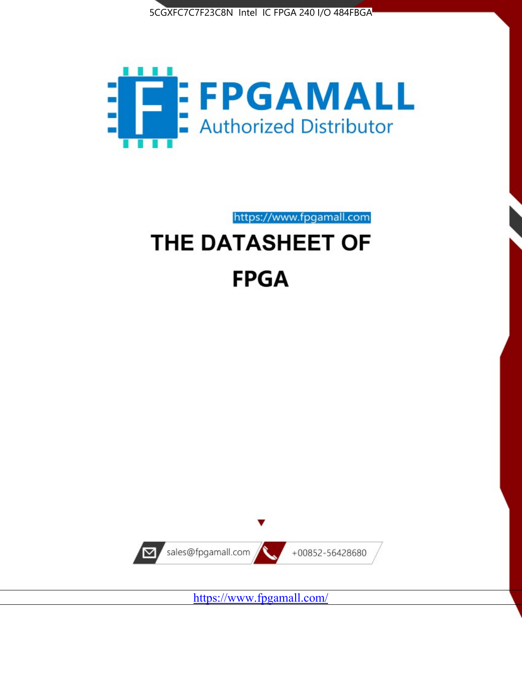



# https://www.fpgamall.com THE DATASHEET OF **FPGA**



<https://www.fpgamall.com/>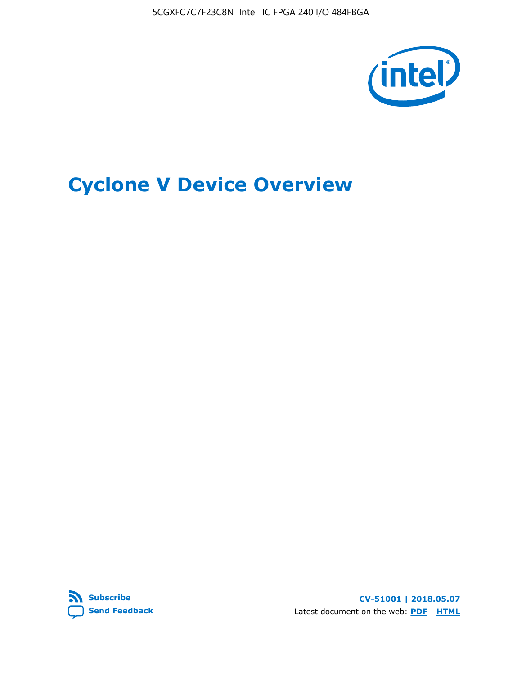5CGXFC7C7F23C8N Intel IC FPGA 240 I/O 484FBGA



# **Cyclone V Device Overview**



**CV-51001 | 2018.05.07** Latest document on the web: **[PDF](https://www.altera.com/en_US/pdfs/literature/hb/cyclone-v/cv_51001.pdf)** | **[HTML](https://www.altera.com/documentation/sam1403480548153.html)**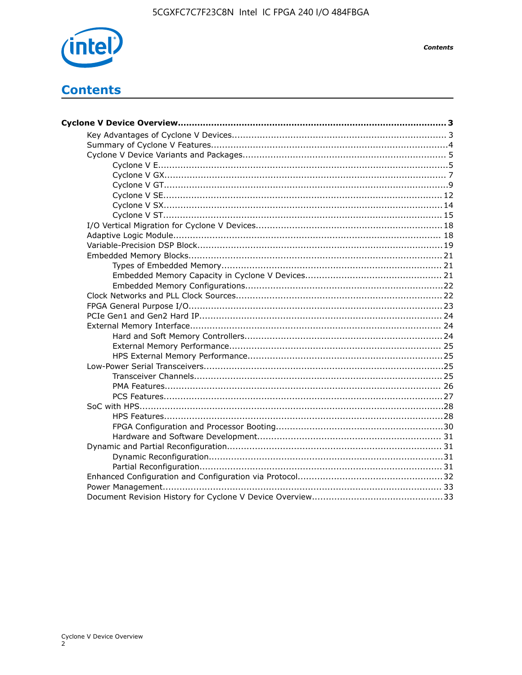

**Contents** 

# **Contents**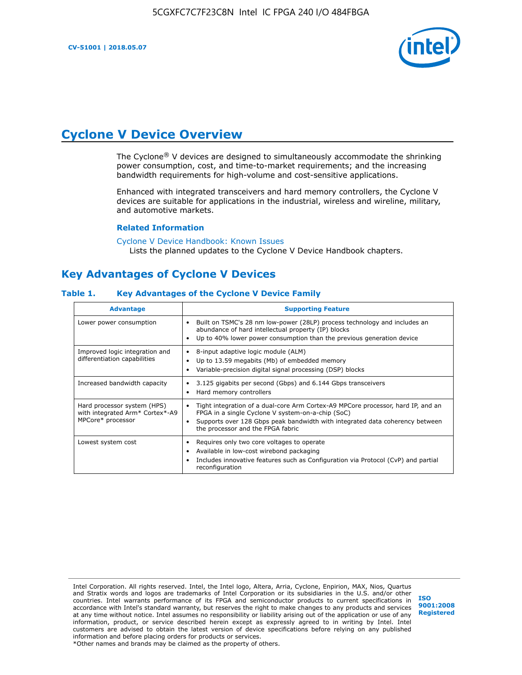

# **Cyclone V Device Overview**

The Cyclone® V devices are designed to simultaneously accommodate the shrinking power consumption, cost, and time-to-market requirements; and the increasing bandwidth requirements for high-volume and cost-sensitive applications.

Enhanced with integrated transceivers and hard memory controllers, the Cyclone V devices are suitable for applications in the industrial, wireless and wireline, military, and automotive markets.

#### **Related Information**

[Cyclone V Device Handbook: Known Issues](https://www.altera.com/support/support-resources/knowledge-base/solutions/rd12152011_347.html) Lists the planned updates to the Cyclone V Device Handbook chapters.

# **Key Advantages of Cyclone V Devices**

#### **Table 1. Key Advantages of the Cyclone V Device Family**

| <b>Advantage</b>                                                                    | <b>Supporting Feature</b>                                                                                                                                                                                                                                                    |
|-------------------------------------------------------------------------------------|------------------------------------------------------------------------------------------------------------------------------------------------------------------------------------------------------------------------------------------------------------------------------|
| Lower power consumption                                                             | Built on TSMC's 28 nm low-power (28LP) process technology and includes an<br>$\bullet$<br>abundance of hard intellectual property (IP) blocks<br>Up to 40% lower power consumption than the previous generation device                                                       |
| Improved logic integration and<br>differentiation capabilities                      | 8-input adaptive logic module (ALM)<br>٠<br>Up to 13.59 megabits (Mb) of embedded memory<br>٠<br>Variable-precision digital signal processing (DSP) blocks                                                                                                                   |
| Increased bandwidth capacity                                                        | 3.125 gigabits per second (Gbps) and 6.144 Gbps transceivers<br>٠<br>Hard memory controllers<br>٠                                                                                                                                                                            |
| Hard processor system (HPS)<br>with integrated Arm* Cortex*-A9<br>MPCore* processor | Tight integration of a dual-core Arm Cortex-A9 MPCore processor, hard IP, and an<br>$\bullet$<br>FPGA in a single Cyclone V system-on-a-chip (SoC)<br>Supports over 128 Gbps peak bandwidth with integrated data coherency between<br>٠<br>the processor and the FPGA fabric |
| Lowest system cost                                                                  | Requires only two core voltages to operate<br>٠<br>Available in low-cost wirebond packaging<br>٠<br>Includes innovative features such as Configuration via Protocol (CvP) and partial<br>٠<br>reconfiguration                                                                |

Intel Corporation. All rights reserved. Intel, the Intel logo, Altera, Arria, Cyclone, Enpirion, MAX, Nios, Quartus and Stratix words and logos are trademarks of Intel Corporation or its subsidiaries in the U.S. and/or other countries. Intel warrants performance of its FPGA and semiconductor products to current specifications in accordance with Intel's standard warranty, but reserves the right to make changes to any products and services at any time without notice. Intel assumes no responsibility or liability arising out of the application or use of any information, product, or service described herein except as expressly agreed to in writing by Intel. Intel customers are advised to obtain the latest version of device specifications before relying on any published information and before placing orders for products or services. \*Other names and brands may be claimed as the property of others.

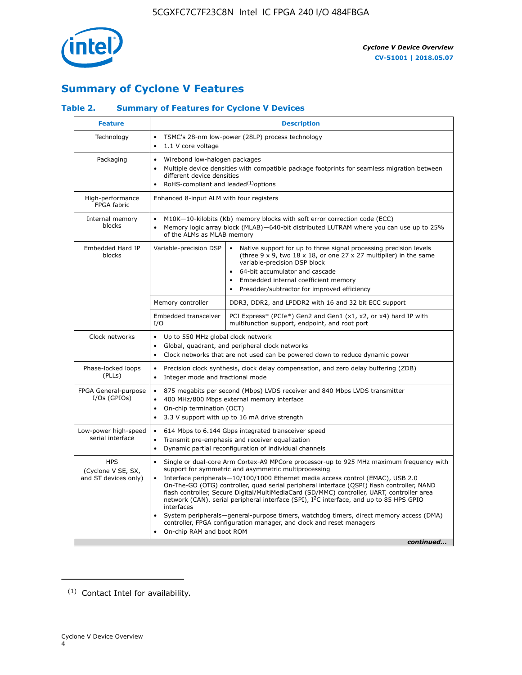

# **Summary of Cyclone V Features**

# **Table 2. Summary of Features for Cyclone V Devices**

| <b>Feature</b>                                           | <b>Description</b>                                                                                                                                                                                      |                                                                                                                                                                                                                                                                                                                                                                                                                                                                                                                                                                                                                                                                                                         |  |  |  |  |  |
|----------------------------------------------------------|---------------------------------------------------------------------------------------------------------------------------------------------------------------------------------------------------------|---------------------------------------------------------------------------------------------------------------------------------------------------------------------------------------------------------------------------------------------------------------------------------------------------------------------------------------------------------------------------------------------------------------------------------------------------------------------------------------------------------------------------------------------------------------------------------------------------------------------------------------------------------------------------------------------------------|--|--|--|--|--|
| Technology                                               | $\bullet$<br>1.1 V core voltage<br>$\bullet$                                                                                                                                                            | TSMC's 28-nm low-power (28LP) process technology                                                                                                                                                                                                                                                                                                                                                                                                                                                                                                                                                                                                                                                        |  |  |  |  |  |
| Packaging                                                | Wirebond low-halogen packages<br>$\bullet$<br>different device densities<br>RoHS-compliant and leaded $(1)$ options                                                                                     | Multiple device densities with compatible package footprints for seamless migration between                                                                                                                                                                                                                                                                                                                                                                                                                                                                                                                                                                                                             |  |  |  |  |  |
| High-performance<br>FPGA fabric                          | Enhanced 8-input ALM with four registers                                                                                                                                                                |                                                                                                                                                                                                                                                                                                                                                                                                                                                                                                                                                                                                                                                                                                         |  |  |  |  |  |
| Internal memory<br>blocks                                | of the ALMs as MLAB memory                                                                                                                                                                              | M10K-10-kilobits (Kb) memory blocks with soft error correction code (ECC)<br>Memory logic array block (MLAB)-640-bit distributed LUTRAM where you can use up to 25%                                                                                                                                                                                                                                                                                                                                                                                                                                                                                                                                     |  |  |  |  |  |
| Embedded Hard IP<br>blocks                               | Variable-precision DSP                                                                                                                                                                                  | Native support for up to three signal processing precision levels<br>(three $9 \times 9$ , two $18 \times 18$ , or one 27 x 27 multiplier) in the same<br>variable-precision DSP block<br>64-bit accumulator and cascade<br>Embedded internal coefficient memory<br>Preadder/subtractor for improved efficiency                                                                                                                                                                                                                                                                                                                                                                                         |  |  |  |  |  |
|                                                          | Memory controller                                                                                                                                                                                       | DDR3, DDR2, and LPDDR2 with 16 and 32 bit ECC support                                                                                                                                                                                                                                                                                                                                                                                                                                                                                                                                                                                                                                                   |  |  |  |  |  |
|                                                          | Embedded transceiver<br>I/O                                                                                                                                                                             | PCI Express* (PCIe*) Gen2 and Gen1 (x1, x2, or x4) hard IP with<br>multifunction support, endpoint, and root port                                                                                                                                                                                                                                                                                                                                                                                                                                                                                                                                                                                       |  |  |  |  |  |
| Clock networks                                           | Up to 550 MHz global clock network<br>$\bullet$<br>$\bullet$                                                                                                                                            | Global, quadrant, and peripheral clock networks<br>Clock networks that are not used can be powered down to reduce dynamic power                                                                                                                                                                                                                                                                                                                                                                                                                                                                                                                                                                         |  |  |  |  |  |
| Phase-locked loops<br>(PLLs)                             | $\bullet$<br>Integer mode and fractional mode<br>$\bullet$                                                                                                                                              | Precision clock synthesis, clock delay compensation, and zero delay buffering (ZDB)                                                                                                                                                                                                                                                                                                                                                                                                                                                                                                                                                                                                                     |  |  |  |  |  |
| FPGA General-purpose<br>$I/Os$ (GPIOs)                   | $\bullet$<br>$\bullet$<br>$\bullet$                                                                                                                                                                     | 875 megabits per second (Mbps) LVDS receiver and 840 Mbps LVDS transmitter<br>400 MHz/800 Mbps external memory interface<br>On-chip termination (OCT)<br>3.3 V support with up to 16 mA drive strength                                                                                                                                                                                                                                                                                                                                                                                                                                                                                                  |  |  |  |  |  |
| Low-power high-speed<br>serial interface                 | 614 Mbps to 6.144 Gbps integrated transceiver speed<br>$\bullet$<br>Transmit pre-emphasis and receiver equalization<br>$\bullet$<br>Dynamic partial reconfiguration of individual channels<br>$\bullet$ |                                                                                                                                                                                                                                                                                                                                                                                                                                                                                                                                                                                                                                                                                                         |  |  |  |  |  |
| <b>HPS</b><br>(Cyclone V SE, SX,<br>and ST devices only) | $\bullet$<br>$\bullet$<br>interfaces<br>On-chip RAM and boot ROM                                                                                                                                        | Single or dual-core Arm Cortex-A9 MPCore processor-up to 925 MHz maximum frequency with<br>support for symmetric and asymmetric multiprocessing<br>Interface peripherals-10/100/1000 Ethernet media access control (EMAC), USB 2.0<br>On-The-GO (OTG) controller, quad serial peripheral interface (QSPI) flash controller, NAND<br>flash controller, Secure Digital/MultiMediaCard (SD/MMC) controller, UART, controller area<br>network (CAN), serial peripheral interface (SPI), I <sup>2</sup> C interface, and up to 85 HPS GPIO<br>System peripherals—general-purpose timers, watchdog timers, direct memory access (DMA)<br>controller, FPGA configuration manager, and clock and reset managers |  |  |  |  |  |
|                                                          |                                                                                                                                                                                                         | continued                                                                                                                                                                                                                                                                                                                                                                                                                                                                                                                                                                                                                                                                                               |  |  |  |  |  |

<sup>(1)</sup> Contact Intel for availability.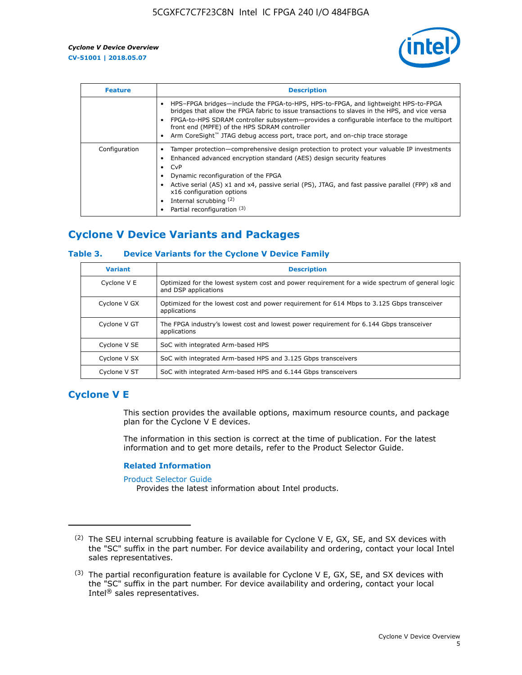

| <b>Feature</b> | <b>Description</b>                                                                                                                                                                                                                                                                                                                                                                                               |
|----------------|------------------------------------------------------------------------------------------------------------------------------------------------------------------------------------------------------------------------------------------------------------------------------------------------------------------------------------------------------------------------------------------------------------------|
|                | HPS-FPGA bridges—include the FPGA-to-HPS, HPS-to-FPGA, and lightweight HPS-to-FPGA<br>bridges that allow the FPGA fabric to issue transactions to slaves in the HPS, and vice versa<br>FPGA-to-HPS SDRAM controller subsystem—provides a configurable interface to the multiport<br>front end (MPFE) of the HPS SDRAM controller<br>Arm CoreSight™ JTAG debug access port, trace port, and on-chip trace storage |
| Configuration  | Tamper protection—comprehensive design protection to protect your valuable IP investments<br>Enhanced advanced encryption standard (AES) design security features<br>CvP<br>Dynamic reconfiguration of the FPGA<br>Active serial (AS) x1 and x4, passive serial (PS), JTAG, and fast passive parallel (FPP) x8 and<br>x16 configuration options<br>Internal scrubbing (2)<br>Partial reconfiguration (3)         |

# **Cyclone V Device Variants and Packages**

## **Table 3. Device Variants for the Cyclone V Device Family**

| <b>Variant</b> | <b>Description</b>                                                                                                      |
|----------------|-------------------------------------------------------------------------------------------------------------------------|
| Cyclone V E    | Optimized for the lowest system cost and power requirement for a wide spectrum of general logic<br>and DSP applications |
| Cyclone V GX   | Optimized for the lowest cost and power requirement for 614 Mbps to 3.125 Gbps transceiver<br>applications              |
| Cyclone V GT   | The FPGA industry's lowest cost and lowest power requirement for 6.144 Gbps transceiver<br>applications                 |
| Cyclone V SE   | SoC with integrated Arm-based HPS                                                                                       |
| Cyclone V SX   | SoC with integrated Arm-based HPS and 3.125 Gbps transceivers                                                           |
| Cyclone V ST   | SoC with integrated Arm-based HPS and 6.144 Gbps transceivers                                                           |

# **Cyclone V E**

This section provides the available options, maximum resource counts, and package plan for the Cyclone V E devices.

The information in this section is correct at the time of publication. For the latest information and to get more details, refer to the Product Selector Guide.

#### **Related Information**

[Product Selector Guide](https://www.altera.com/products/product-selector-guide.html)

Provides the latest information about Intel products.

<sup>(2)</sup> The SEU internal scrubbing feature is available for Cyclone V E, GX, SE, and SX devices with the "SC" suffix in the part number. For device availability and ordering, contact your local Intel sales representatives.

 $(3)$  The partial reconfiguration feature is available for Cyclone V E, GX, SE, and SX devices with the "SC" suffix in the part number. For device availability and ordering, contact your local Intel® sales representatives.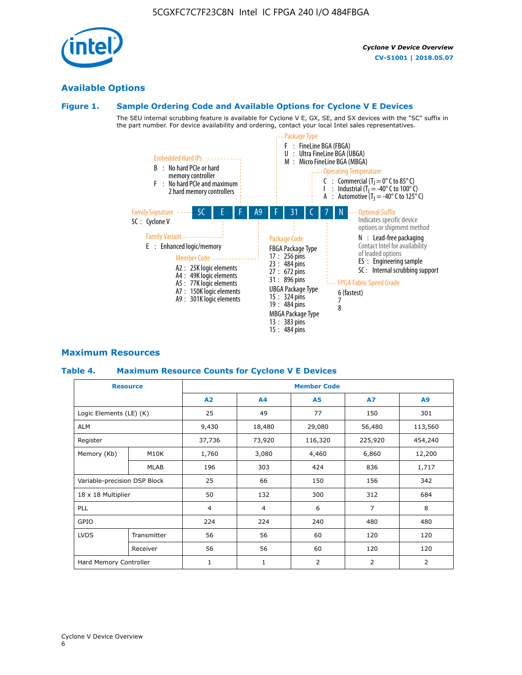# **Available Options**

# **Figure 1. Sample Ordering Code and Available Options for Cyclone V E Devices**

The SEU internal scrubbing feature is available for Cyclone V E, GX, SE, and SX devices with the "SC" suffix in the part number. For device availability and ordering, contact your local Intel sales representatives.



# **Maximum Resources**

## **Table 4. Maximum Resource Counts for Cyclone V E Devices**

| <b>Resource</b>              |             |                          | <b>Member Code</b> |                |                |                |  |  |  |
|------------------------------|-------------|--------------------------|--------------------|----------------|----------------|----------------|--|--|--|
|                              |             | A2                       | A <sub>4</sub>     | <b>A5</b>      | <b>A7</b>      | A <sub>9</sub> |  |  |  |
| Logic Elements (LE) (K)      |             | 25                       | 49                 | 77             | 150            | 301            |  |  |  |
| <b>ALM</b>                   |             | 9,430                    | 18,480             | 29,080         | 56,480         | 113,560        |  |  |  |
| Register                     |             | 37,736                   | 73,920             | 116,320        | 225,920        | 454,240        |  |  |  |
| Memory (Kb)                  | M10K        | 1,760                    | 3,080              | 4,460          | 6,860          | 12,200         |  |  |  |
|                              | <b>MLAB</b> | 196                      | 303                | 424            | 836            | 1,717          |  |  |  |
| Variable-precision DSP Block |             | 25                       | 66                 | 150            | 156            | 342            |  |  |  |
| 18 x 18 Multiplier           |             | 50                       | 132                | 300            | 312            | 684            |  |  |  |
| PLL                          |             | $\overline{4}$           | 4                  | 6              | $\overline{7}$ | 8              |  |  |  |
| GPIO                         |             | 224<br>224<br>240<br>480 |                    |                | 480            |                |  |  |  |
| <b>LVDS</b>                  | Transmitter | 56                       | 56                 | 60             | 120            | 120            |  |  |  |
|                              | Receiver    | 56                       | 56                 | 60             | 120            | 120            |  |  |  |
| Hard Memory Controller       |             | $\mathbf{1}$             | $\mathbf{1}$       | $\overline{2}$ | 2              | 2              |  |  |  |

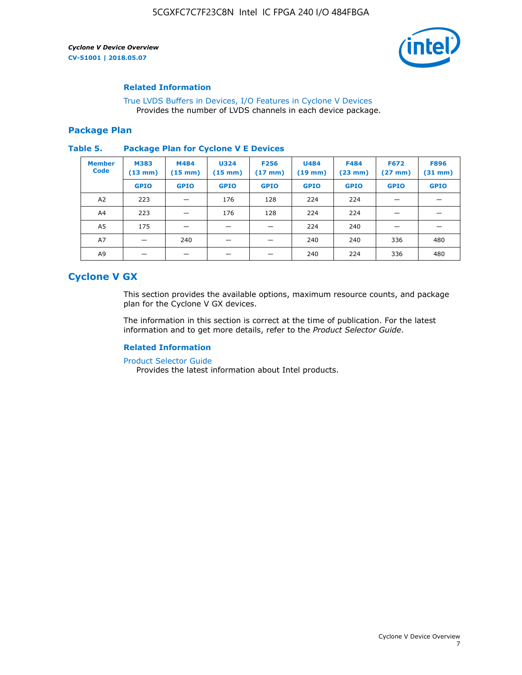

## **Related Information**

[True LVDS Buffers in Devices, I/O Features in Cyclone V Devices](https://www.altera.com/documentation/sam1403481100977.html#sam1403480885395) Provides the number of LVDS channels in each device package.

#### **Package Plan**

#### **Table 5. Package Plan for Cyclone V E Devices**

| <b>Member</b><br><b>Code</b> | <b>M383</b><br>$(13 \text{ mm})$ | M484<br>$(15 \text{ mm})$ | <b>U324</b><br>$(15 \text{ mm})$ | <b>F256</b><br>$(17 \text{ mm})$ | <b>U484</b><br>$(19$ mm) | <b>F484</b><br>$(23$ mm $)$ | <b>F672</b><br>$(27 \, \text{mm})$ | <b>F896</b><br>$(31$ mm $)$ |
|------------------------------|----------------------------------|---------------------------|----------------------------------|----------------------------------|--------------------------|-----------------------------|------------------------------------|-----------------------------|
|                              | <b>GPIO</b>                      | <b>GPIO</b>               | <b>GPIO</b>                      | <b>GPIO</b>                      | <b>GPIO</b>              | <b>GPIO</b>                 | <b>GPIO</b>                        | <b>GPIO</b>                 |
| A2                           | 223                              |                           | 176                              | 128                              | 224                      | 224                         | –                                  |                             |
| A4                           | 223                              |                           | 176                              | 128                              | 224                      | 224                         | –                                  |                             |
| A5                           | 175                              |                           |                                  |                                  | 224                      | 240                         |                                    |                             |
| A7                           |                                  | 240                       |                                  |                                  | 240                      | 240                         | 336                                | 480                         |
| A9                           |                                  |                           |                                  |                                  | 240                      | 224                         | 336                                | 480                         |

# **Cyclone V GX**

This section provides the available options, maximum resource counts, and package plan for the Cyclone V GX devices.

The information in this section is correct at the time of publication. For the latest information and to get more details, refer to the *Product Selector Guide*.

## **Related Information**

[Product Selector Guide](https://www.altera.com/products/product-selector-guide.html)

Provides the latest information about Intel products.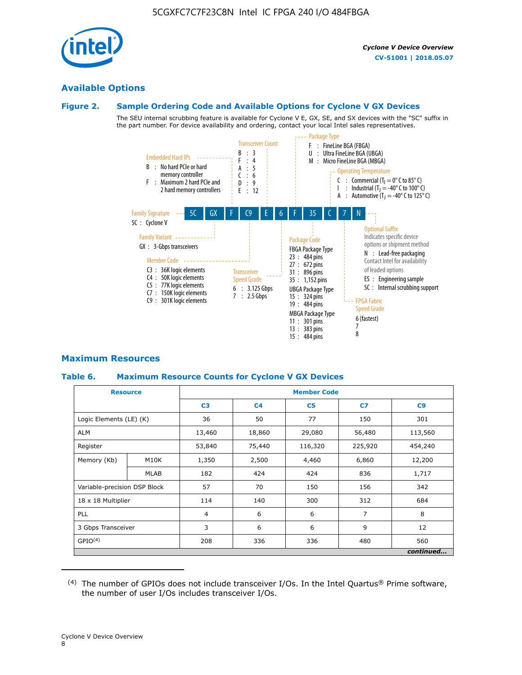

# **Available Options**

#### **Figure 2. Sample Ordering Code and Available Options for Cyclone V GX Devices**

The SEU internal scrubbing feature is available for Cyclone V E, GX, SE, and SX devices with the "SC" suffix in the part number. For device availability and ordering, contact your local Intel sales representatives.



# **Maximum Resources**

## **Table 6. Maximum Resource Counts for Cyclone V GX Devices**

| <b>Resource</b>              |             | <b>Member Code</b> |                |                |                |           |  |  |
|------------------------------|-------------|--------------------|----------------|----------------|----------------|-----------|--|--|
|                              |             | C <sub>3</sub>     | C <sub>4</sub> | C <sub>5</sub> | C7             | C9        |  |  |
| Logic Elements (LE) (K)      |             | 36                 | 50             | 77             | 150            | 301       |  |  |
| <b>ALM</b>                   |             | 13,460             | 18,860         | 29,080         | 56,480         | 113,560   |  |  |
| Register                     |             | 53,840             | 75,440         | 116,320        | 225,920        | 454,240   |  |  |
| Memory (Kb)                  | M10K        | 1,350              | 2,500          | 4,460          | 6,860          | 12,200    |  |  |
|                              | <b>MLAB</b> | 182                | 424            | 424            | 836            | 1,717     |  |  |
| Variable-precision DSP Block |             | 57                 | 70             | 150            | 156            | 342       |  |  |
| 18 x 18 Multiplier           |             | 114                | 140            | 300            | 312            | 684       |  |  |
| PLL                          |             | $\overline{4}$     | 6              | 6              | $\overline{7}$ | 8         |  |  |
| 3 Gbps Transceiver           |             | 3                  | 6              | 6              | 9              |           |  |  |
| GPIO <sup>(4)</sup>          |             | 208                | 336            | 336            | 480            | 560       |  |  |
|                              |             |                    |                |                |                | continued |  |  |

 $(4)$  The number of GPIOs does not include transceiver I/Os. In the Intel Quartus® Prime software, the number of user I/Os includes transceiver I/Os.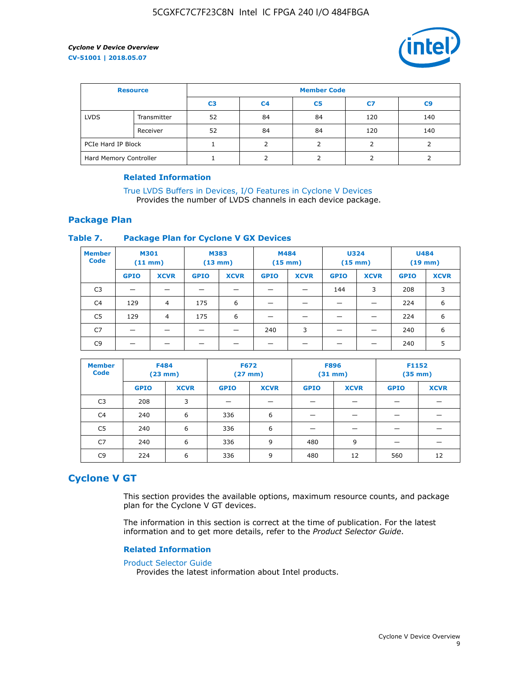

| <b>Resource</b>        |             | <b>Member Code</b> |                |                |     |                |  |  |
|------------------------|-------------|--------------------|----------------|----------------|-----|----------------|--|--|
|                        |             | C <sub>3</sub>     | C <sub>4</sub> | C <sub>5</sub> | C7  | C <sub>9</sub> |  |  |
| <b>LVDS</b>            | Transmitter | 52                 | 84             | 84             | 120 | 140            |  |  |
|                        | Receiver    | 52                 | 84             | 84             | 120 | 140            |  |  |
| PCIe Hard IP Block     |             |                    |                |                |     |                |  |  |
| Hard Memory Controller |             |                    | h              |                |     |                |  |  |

## **Related Information**

[True LVDS Buffers in Devices, I/O Features in Cyclone V Devices](https://www.altera.com/documentation/sam1403481100977.html#sam1403480885395) Provides the number of LVDS channels in each device package.

# **Package Plan**

## **Table 7. Package Plan for Cyclone V GX Devices**

| <b>Member</b><br><b>Code</b> | <b>M301</b><br>$(11$ mm) |                | <b>M383</b><br>$(13 \text{ mm})$ |             | M484        | $(15 \text{ mm})$ | <b>U324</b><br>$(15 \text{ mm})$ |             | <b>U484</b><br>$(19$ mm) |             |
|------------------------------|--------------------------|----------------|----------------------------------|-------------|-------------|-------------------|----------------------------------|-------------|--------------------------|-------------|
|                              | <b>GPIO</b>              | <b>XCVR</b>    | <b>GPIO</b>                      | <b>XCVR</b> | <b>GPIO</b> | <b>XCVR</b>       | <b>GPIO</b>                      | <b>XCVR</b> | <b>GPIO</b>              | <b>XCVR</b> |
| C <sub>3</sub>               |                          |                |                                  |             |             |                   | 144                              | 3           | 208                      | 3           |
| C <sub>4</sub>               | 129                      | $\overline{4}$ | 175                              | 6           |             |                   | –                                |             | 224                      | 6           |
| C5                           | 129                      | 4              | 175                              | 6           |             |                   |                                  |             | 224                      | 6           |
| C7                           | _                        |                |                                  |             | 240         | 3                 |                                  |             | 240                      | 6           |
| C <sub>9</sub>               |                          |                |                                  |             |             |                   |                                  |             | 240                      | 5           |

| <b>Member</b><br><b>Code</b> | <b>F484</b> | $(23$ mm)   | <b>F672</b> | $(27 \text{ mm})$ | <b>F896</b><br>$(31 \text{ mm})$ |             | F1152<br>$(35 \text{ mm})$ |             |
|------------------------------|-------------|-------------|-------------|-------------------|----------------------------------|-------------|----------------------------|-------------|
|                              | <b>GPIO</b> | <b>XCVR</b> | <b>GPIO</b> | <b>XCVR</b>       | <b>GPIO</b>                      | <b>XCVR</b> | <b>GPIO</b>                | <b>XCVR</b> |
| C <sub>3</sub>               | 208         | 3           |             |                   |                                  |             |                            |             |
| C4                           | 240         | 6           | 336         | 6                 |                                  |             |                            |             |
| C5                           | 240         | 6           | 336         | 6                 |                                  |             |                            |             |
| C <sub>7</sub>               | 240         | 6           | 336         | 9                 | 480                              | 9           |                            |             |
| C <sub>9</sub>               | 224         | 6           | 336         | 9                 | 480                              | 12          | 560                        | 12          |

# **Cyclone V GT**

This section provides the available options, maximum resource counts, and package plan for the Cyclone V GT devices.

The information in this section is correct at the time of publication. For the latest information and to get more details, refer to the *Product Selector Guide*.

#### **Related Information**

#### [Product Selector Guide](https://www.altera.com/products/product-selector-guide.html)

Provides the latest information about Intel products.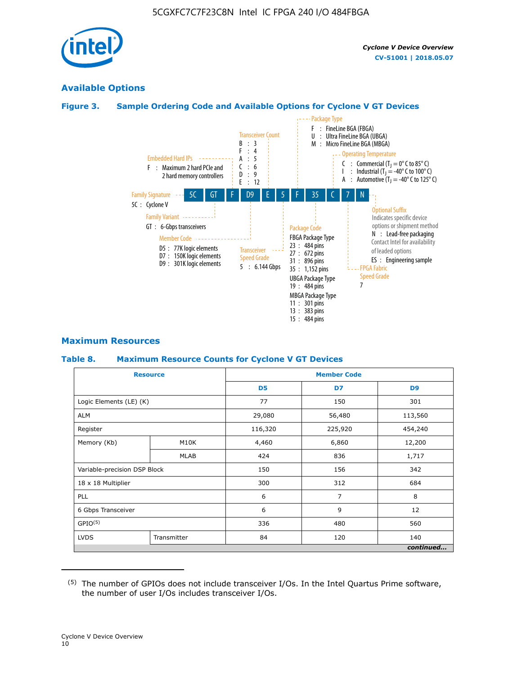

# **Available Options**

# **Figure 3. Sample Ordering Code and Available Options for Cyclone V GT Devices**



## **Maximum Resources**

#### **Table 8. Maximum Resource Counts for Cyclone V GT Devices**

|                              | <b>Resource</b> | <b>Member Code</b> |         |                |  |  |
|------------------------------|-----------------|--------------------|---------|----------------|--|--|
|                              |                 | D <sub>5</sub>     | D7      | D <sub>9</sub> |  |  |
| Logic Elements (LE) (K)      |                 | 77                 | 150     | 301            |  |  |
| <b>ALM</b>                   |                 | 29,080             | 56,480  | 113,560        |  |  |
| Register                     |                 | 116,320            | 225,920 | 454,240        |  |  |
| Memory (Kb)                  | M10K            | 4,460              | 6,860   | 12,200         |  |  |
|                              | <b>MLAB</b>     | 424                | 836     | 1,717          |  |  |
| Variable-precision DSP Block |                 | 150                | 156     | 342            |  |  |
| 18 x 18 Multiplier           |                 | 300                | 312     | 684            |  |  |
| PLL                          |                 | 6                  | 7       | 8              |  |  |
| 6 Gbps Transceiver           |                 | 6                  | 9       | 12             |  |  |
| GPIO <sup>(5)</sup>          |                 | 336                | 480     | 560            |  |  |
| <b>LVDS</b>                  | Transmitter     | 84                 | 120     | 140            |  |  |
|                              |                 |                    |         | continued      |  |  |

<sup>(5)</sup> The number of GPIOs does not include transceiver I/Os. In the Intel Quartus Prime software, the number of user I/Os includes transceiver I/Os.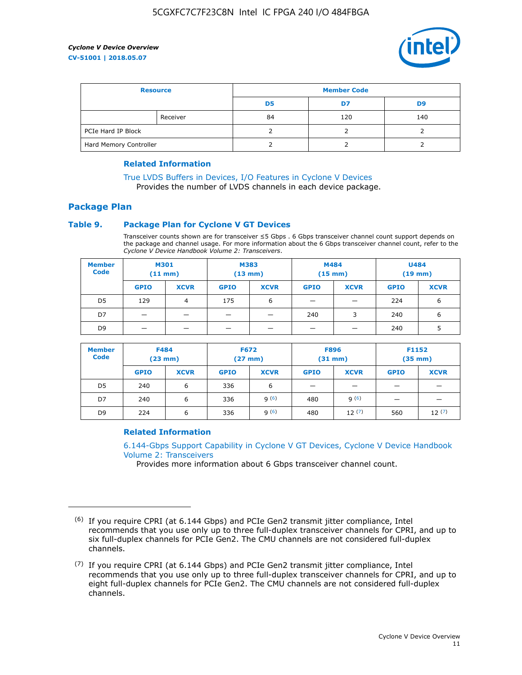

| <b>Resource</b>        |          | <b>Member Code</b> |     |     |  |  |
|------------------------|----------|--------------------|-----|-----|--|--|
|                        |          | D5                 | D7  | D9  |  |  |
|                        | Receiver | 84                 | 120 | 140 |  |  |
| PCIe Hard IP Block     |          |                    |     |     |  |  |
| Hard Memory Controller |          |                    |     |     |  |  |

## **Related Information**

[True LVDS Buffers in Devices, I/O Features in Cyclone V Devices](https://www.altera.com/documentation/sam1403481100977.html#sam1403480885395) Provides the number of LVDS channels in each device package.

# **Package Plan**

## **Table 9. Package Plan for Cyclone V GT Devices**

Transceiver counts shown are for transceiver ≤5 Gbps . 6 Gbps transceiver channel count support depends on the package and channel usage. For more information about the 6 Gbps transceiver channel count, refer to the *Cyclone V Device Handbook Volume 2: Transceivers*.

| <b>Member</b><br><b>Code</b> | <b>M301</b><br>(11 mm)   |                | M383<br>$(13 \text{ mm})$ |             | M484<br>$(15 \text{ mm})$ |             | <b>U484</b><br>$(19$ mm) |             |
|------------------------------|--------------------------|----------------|---------------------------|-------------|---------------------------|-------------|--------------------------|-------------|
|                              | <b>GPIO</b>              | <b>XCVR</b>    | <b>GPIO</b>               | <b>XCVR</b> | <b>GPIO</b>               | <b>XCVR</b> | <b>GPIO</b>              | <b>XCVR</b> |
| D <sub>5</sub>               | 129                      | $\overline{4}$ | 175                       | 6           | -                         | -           | 224                      | 6           |
| D7                           | -                        | -              |                           |             | 240                       | 3           | 240                      | 6           |
| D <sub>9</sub>               | $\overline{\phantom{0}}$ | _              |                           |             | -                         |             | 240                      | 5           |

| <b>Member</b><br><b>Code</b> | <b>F484</b><br>$(23 \text{ mm})$ |             | <b>F672</b><br>$(27 \text{ mm})$ |             | <b>F896</b><br>$(31$ mm $)$ |             | F1152<br>$(35$ mm $)$ |             |
|------------------------------|----------------------------------|-------------|----------------------------------|-------------|-----------------------------|-------------|-----------------------|-------------|
|                              | <b>GPIO</b>                      | <b>XCVR</b> | <b>GPIO</b>                      | <b>XCVR</b> | <b>GPIO</b>                 | <b>XCVR</b> | <b>GPIO</b>           | <b>XCVR</b> |
| D <sub>5</sub>               | 240                              | 6           | 336                              | 6           | -                           |             |                       |             |
| D7                           | 240                              | 6           | 336                              | q(6)        | 480                         | q(6)        | -                     | _           |
| D <sub>9</sub>               | 224                              | 6           | 336                              | q(6)        | 480                         | 12(7)       | 560                   | 12(7)       |

## **Related Information**

[6.144-Gbps Support Capability in Cyclone V GT Devices, Cyclone V Device Handbook](https://www.altera.com/documentation/nik1409855456781.html#nik1409855410757) [Volume 2: Transceivers](https://www.altera.com/documentation/nik1409855456781.html#nik1409855410757)

Provides more information about 6 Gbps transceiver channel count.

<sup>(6)</sup> If you require CPRI (at 6.144 Gbps) and PCIe Gen2 transmit jitter compliance, Intel recommends that you use only up to three full-duplex transceiver channels for CPRI, and up to six full-duplex channels for PCIe Gen2. The CMU channels are not considered full-duplex channels.

 $(7)$  If you require CPRI (at 6.144 Gbps) and PCIe Gen2 transmit jitter compliance, Intel recommends that you use only up to three full-duplex transceiver channels for CPRI, and up to eight full-duplex channels for PCIe Gen2. The CMU channels are not considered full-duplex channels.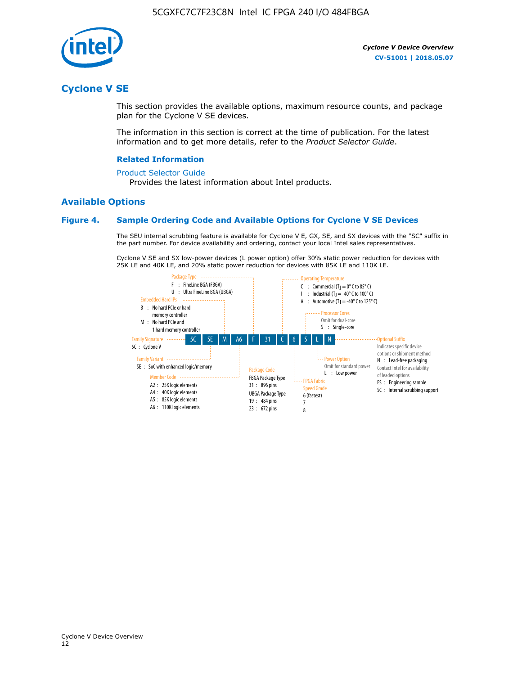

# **Cyclone V SE**

This section provides the available options, maximum resource counts, and package plan for the Cyclone V SE devices.

The information in this section is correct at the time of publication. For the latest information and to get more details, refer to the *Product Selector Guide*.

#### **Related Information**

#### [Product Selector Guide](https://www.altera.com/products/product-selector-guide.html)

Provides the latest information about Intel products.

# **Available Options**

#### **Figure 4. Sample Ordering Code and Available Options for Cyclone V SE Devices**

The SEU internal scrubbing feature is available for Cyclone V E, GX, SE, and SX devices with the "SC" suffix in the part number. For device availability and ordering, contact your local Intel sales representatives.

Cyclone V SE and SX low-power devices (L power option) offer 30% static power reduction for devices with 25K LE and 40K LE, and 20% static power reduction for devices with 85K LE and 110K LE.

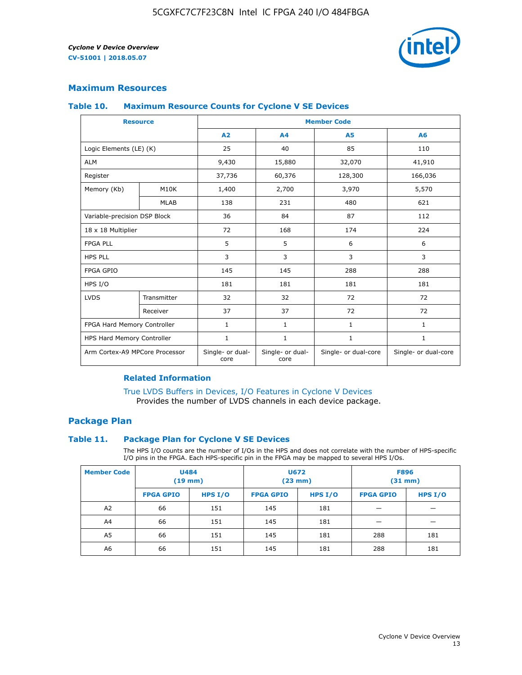

# **Maximum Resources**

#### **Table 10. Maximum Resource Counts for Cyclone V SE Devices**

|                                | <b>Resource</b> | <b>Member Code</b>       |                          |                      |                      |  |
|--------------------------------|-----------------|--------------------------|--------------------------|----------------------|----------------------|--|
|                                |                 | A <sub>2</sub>           | A <sub>4</sub>           | <b>A5</b>            | A6                   |  |
| Logic Elements (LE) (K)        |                 | 25                       | 40                       | 85                   | 110                  |  |
| <b>ALM</b>                     |                 | 9,430                    | 15,880                   | 32,070               | 41,910               |  |
| Register                       |                 | 37,736                   | 60,376                   | 128,300              | 166,036              |  |
| Memory (Kb)                    | M10K            | 1,400                    | 2,700                    | 3,970                | 5,570                |  |
|                                | <b>MLAB</b>     | 138                      | 231                      | 480                  | 621                  |  |
| Variable-precision DSP Block   |                 | 36                       | 84                       | 87                   | 112                  |  |
| 18 x 18 Multiplier             |                 | 72                       | 168                      | 174                  | 224                  |  |
| <b>FPGA PLL</b>                |                 | 5                        | 5                        | 6                    | 6                    |  |
| <b>HPS PLL</b>                 |                 | 3                        | 3                        | 3                    | 3                    |  |
| <b>FPGA GPIO</b>               |                 | 145                      | 145                      | 288                  | 288                  |  |
| HPS I/O                        |                 | 181                      | 181                      | 181                  | 181                  |  |
| <b>LVDS</b>                    | Transmitter     | 32                       | 32                       | 72                   | 72                   |  |
|                                | Receiver        | 37                       | 37                       | 72                   | 72                   |  |
| FPGA Hard Memory Controller    |                 | 1                        | $\mathbf{1}$             | $\mathbf{1}$         | $\mathbf{1}$         |  |
| HPS Hard Memory Controller     |                 | $\mathbf{1}$             | $\mathbf{1}$             | $\mathbf{1}$         | $\mathbf{1}$         |  |
| Arm Cortex-A9 MPCore Processor |                 | Single- or dual-<br>core | Single- or dual-<br>core | Single- or dual-core | Single- or dual-core |  |

# **Related Information**

[True LVDS Buffers in Devices, I/O Features in Cyclone V Devices](https://www.altera.com/documentation/sam1403481100977.html#sam1403480885395) Provides the number of LVDS channels in each device package.

# **Package Plan**

#### **Table 11. Package Plan for Cyclone V SE Devices**

The HPS I/O counts are the number of I/Os in the HPS and does not correlate with the number of HPS-specific I/O pins in the FPGA. Each HPS-specific pin in the FPGA may be mapped to several HPS I/Os.

| <b>Member Code</b> | <b>U484</b><br>$(19$ mm) |           | <b>U672</b><br>(23 mm) |           | <b>F896</b><br>$(31$ mm $)$ |           |
|--------------------|--------------------------|-----------|------------------------|-----------|-----------------------------|-----------|
|                    | <b>FPGA GPIO</b>         | HPS $I/O$ | <b>FPGA GPIO</b>       | HPS $I/O$ | <b>FPGA GPIO</b>            | HPS $I/O$ |
| A <sub>2</sub>     | 66                       | 151       | 145                    | 181       |                             |           |
| A4                 | 66                       | 151       | 145                    | 181       |                             |           |
| A <sub>5</sub>     | 66                       | 151       | 145                    | 181       | 288                         | 181       |
| A6                 | 66                       | 151       | 145                    | 181       | 288                         | 181       |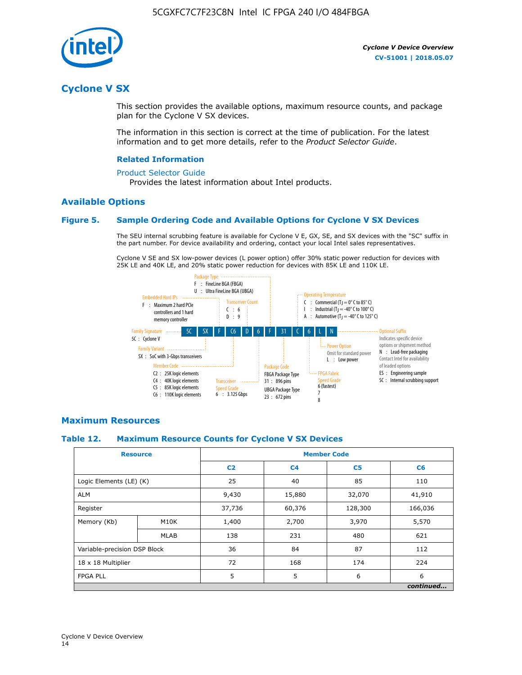

# **Cyclone V SX**

This section provides the available options, maximum resource counts, and package plan for the Cyclone V SX devices.

The information in this section is correct at the time of publication. For the latest information and to get more details, refer to the *Product Selector Guide*.

#### **Related Information**

#### [Product Selector Guide](https://www.altera.com/products/product-selector-guide.html)

Provides the latest information about Intel products.

# **Available Options**

## **Figure 5. Sample Ordering Code and Available Options for Cyclone V SX Devices**

The SEU internal scrubbing feature is available for Cyclone V E, GX, SE, and SX devices with the "SC" suffix in the part number. For device availability and ordering, contact your local Intel sales representatives.

Cyclone V SE and SX low-power devices (L power option) offer 30% static power reduction for devices with 25K LE and 40K LE, and 20% static power reduction for devices with 85K LE and 110K LE.



## **Maximum Resources**

#### **Table 12. Maximum Resource Counts for Cyclone V SX Devices**

|                              | <b>Resource</b> | <b>Member Code</b> |                |                |           |  |
|------------------------------|-----------------|--------------------|----------------|----------------|-----------|--|
|                              |                 | C <sub>2</sub>     | C <sub>4</sub> | C <sub>5</sub> | C6        |  |
| Logic Elements (LE) (K)      |                 | 25                 | 40             | 85             | 110       |  |
| <b>ALM</b>                   |                 | 9,430              | 15,880         | 32,070         | 41,910    |  |
| Register                     |                 | 37,736             | 60,376         | 128,300        | 166,036   |  |
| Memory (Kb)                  | M10K            | 1,400              | 2,700          | 3,970          | 5,570     |  |
|                              | <b>MLAB</b>     | 138                | 231            | 480            | 621       |  |
| Variable-precision DSP Block |                 | 36                 | 84             | 87             | 112       |  |
| 18 x 18 Multiplier           |                 | 72                 | 168            | 174            | 224       |  |
| <b>FPGA PLL</b>              |                 | 5                  | 5              | 6              | 6         |  |
|                              |                 |                    |                |                | continued |  |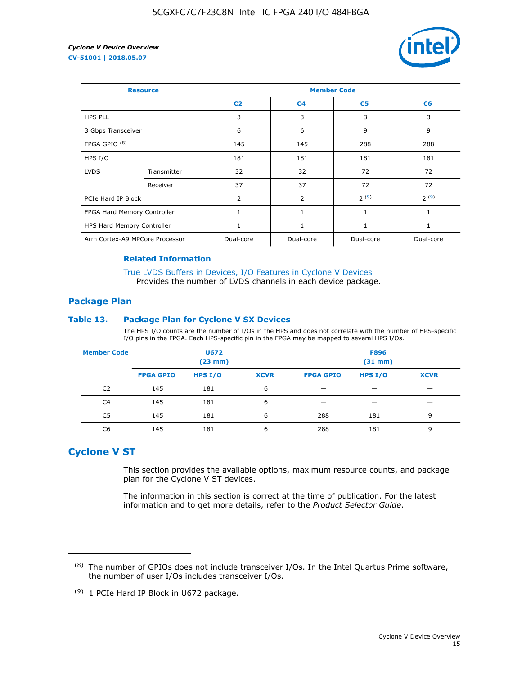

| <b>Resource</b>                |             | <b>Member Code</b> |                |                |              |  |  |
|--------------------------------|-------------|--------------------|----------------|----------------|--------------|--|--|
|                                |             | C <sub>2</sub>     | C <sub>4</sub> | C <sub>5</sub> | C6           |  |  |
| <b>HPS PLL</b>                 |             | 3                  | 3              | 3              | 3            |  |  |
| 3 Gbps Transceiver             |             | 6                  | 6              | 9              | 9            |  |  |
| FPGA GPIO <sup>(8)</sup>       |             | 145                | 145            | 288            | 288          |  |  |
| HPS I/O                        |             | 181                | 181            | 181            | 181          |  |  |
| <b>LVDS</b>                    | Transmitter | 32                 | 32             | 72             | 72           |  |  |
|                                | Receiver    | 37                 | 37             | 72             | 72           |  |  |
| PCIe Hard IP Block             |             | $\overline{2}$     | $\overline{2}$ | 2(9)           | 2(9)         |  |  |
| FPGA Hard Memory Controller    |             | 1                  | $\mathbf{1}$   | 1              | $\mathbf{1}$ |  |  |
| HPS Hard Memory Controller     |             | 1                  | $\mathbf{1}$   | 1              | 1            |  |  |
| Arm Cortex-A9 MPCore Processor |             | Dual-core          | Dual-core      | Dual-core      | Dual-core    |  |  |

## **Related Information**

[True LVDS Buffers in Devices, I/O Features in Cyclone V Devices](https://www.altera.com/documentation/sam1403481100977.html#sam1403480885395) Provides the number of LVDS channels in each device package.

# **Package Plan**

#### **Table 13. Package Plan for Cyclone V SX Devices**

The HPS I/O counts are the number of I/Os in the HPS and does not correlate with the number of HPS-specific I/O pins in the FPGA. Each HPS-specific pin in the FPGA may be mapped to several HPS I/Os.

| <b>Member Code</b> | U672<br>(23 mm)  |           | <b>F896</b><br>$(31$ mm $)$ |                  |           |             |
|--------------------|------------------|-----------|-----------------------------|------------------|-----------|-------------|
|                    | <b>FPGA GPIO</b> | HPS $I/O$ | <b>XCVR</b>                 | <b>FPGA GPIO</b> | HPS $I/O$ | <b>XCVR</b> |
| C <sub>2</sub>     | 145              | 181       | 6                           |                  |           |             |
| C <sub>4</sub>     | 145              | 181       | 6                           |                  |           |             |
| C5                 | 145              | 181       | 6                           | 288              | 181       | 9           |
| C6                 | 145              | 181       | 6                           | 288              | 181       | 9           |

# **Cyclone V ST**

This section provides the available options, maximum resource counts, and package plan for the Cyclone V ST devices.

The information in this section is correct at the time of publication. For the latest information and to get more details, refer to the *Product Selector Guide*.

 $(8)$  The number of GPIOs does not include transceiver I/Os. In the Intel Quartus Prime software, the number of user I/Os includes transceiver I/Os.

<sup>(9)</sup> 1 PCIe Hard IP Block in U672 package.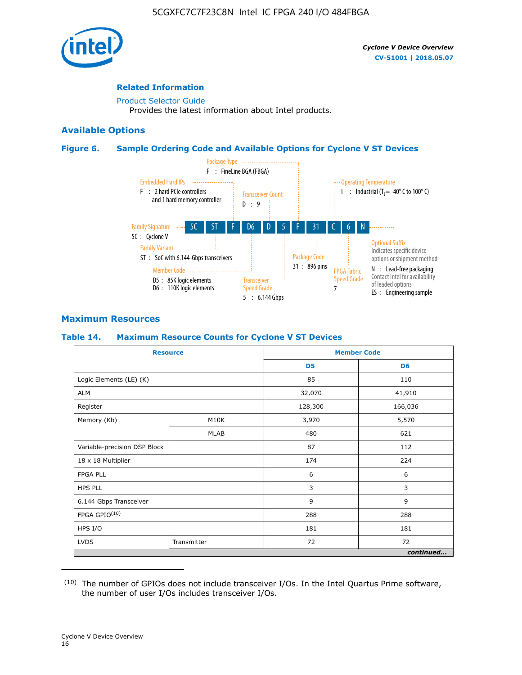

# **Related Information**

[Product Selector Guide](https://www.altera.com/products/product-selector-guide.html) Provides the latest information about Intel products.

# **Available Options**

## **Figure 6. Sample Ordering Code and Available Options for Cyclone V ST Devices**



# **Maximum Resources**

## **Table 14. Maximum Resource Counts for Cyclone V ST Devices**

| <b>Resource</b>              |             |                | <b>Member Code</b> |
|------------------------------|-------------|----------------|--------------------|
|                              |             | D <sub>5</sub> | D <sub>6</sub>     |
| Logic Elements (LE) (K)      |             | 85             | 110                |
| <b>ALM</b>                   |             | 32,070         | 41,910             |
| Register                     |             | 128,300        | 166,036            |
| Memory (Kb)                  | M10K        | 3,970          | 5,570              |
|                              | <b>MLAB</b> | 480            | 621                |
| Variable-precision DSP Block |             | 87             | 112                |
| 18 x 18 Multiplier           |             | 174            | 224                |
| <b>FPGA PLL</b>              |             | 6              | 6                  |
| <b>HPS PLL</b>               |             | 3              | 3                  |
| 6.144 Gbps Transceiver       |             | 9              | 9                  |
| FPGA GPIO(10)                |             | 288            | 288                |
| HPS I/O                      |             | 181            | 181                |
| <b>LVDS</b>                  | Transmitter | 72             | 72                 |
|                              |             |                | continued          |

<sup>(10)</sup> The number of GPIOs does not include transceiver I/Os. In the Intel Quartus Prime software, the number of user I/Os includes transceiver I/Os.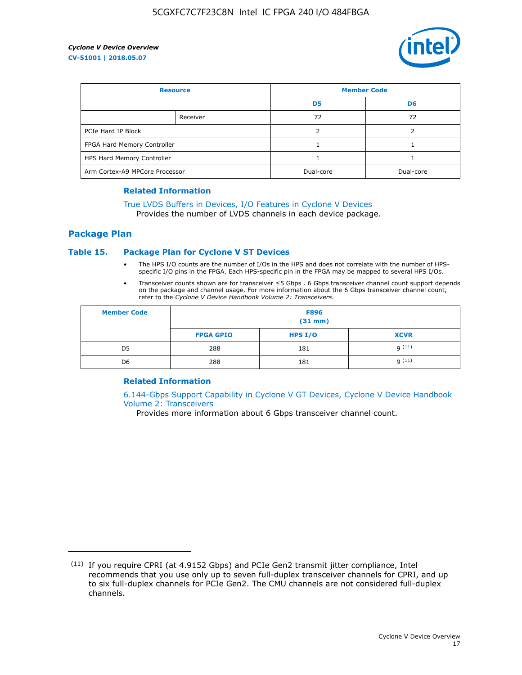

| <b>Resource</b>                |          | <b>Member Code</b> |                |  |
|--------------------------------|----------|--------------------|----------------|--|
|                                |          | D <sub>5</sub>     | D <sub>6</sub> |  |
|                                | Receiver | 72                 | 72             |  |
| PCIe Hard IP Block             |          |                    |                |  |
| FPGA Hard Memory Controller    |          |                    |                |  |
| HPS Hard Memory Controller     |          |                    |                |  |
| Arm Cortex-A9 MPCore Processor |          | Dual-core          | Dual-core      |  |

#### **Related Information**

# [True LVDS Buffers in Devices, I/O Features in Cyclone V Devices](https://www.altera.com/documentation/sam1403481100977.html#sam1403480885395)

Provides the number of LVDS channels in each device package.

# **Package Plan**

## **Table 15. Package Plan for Cyclone V ST Devices**

- The HPS I/O counts are the number of I/Os in the HPS and does not correlate with the number of HPSspecific I/O pins in the FPGA. Each HPS-specific pin in the FPGA may be mapped to several HPS I/Os.
- Transceiver counts shown are for transceiver ≤5 Gbps . 6 Gbps transceiver channel count support depends on the package and channel usage. For more information about the 6 Gbps transceiver channel count, refer to the *Cyclone V Device Handbook Volume 2: Transceivers*.

| <b>Member Code</b> | <b>F896</b><br>$(31$ mm $)$ |           |             |  |  |
|--------------------|-----------------------------|-----------|-------------|--|--|
|                    | <b>FPGA GPIO</b>            | HPS $I/O$ | <b>XCVR</b> |  |  |
| D <sub>5</sub>     | 288                         | 181       | 9(11)       |  |  |
| D <sub>6</sub>     | 288                         | 181       | q(11)       |  |  |

## **Related Information**

[6.144-Gbps Support Capability in Cyclone V GT Devices, Cyclone V Device Handbook](https://www.altera.com/documentation/nik1409855456781.html#nik1409855410757) [Volume 2: Transceivers](https://www.altera.com/documentation/nik1409855456781.html#nik1409855410757)

Provides more information about 6 Gbps transceiver channel count.

<sup>(11)</sup> If you require CPRI (at 4.9152 Gbps) and PCIe Gen2 transmit jitter compliance, Intel recommends that you use only up to seven full-duplex transceiver channels for CPRI, and up to six full-duplex channels for PCIe Gen2. The CMU channels are not considered full-duplex channels.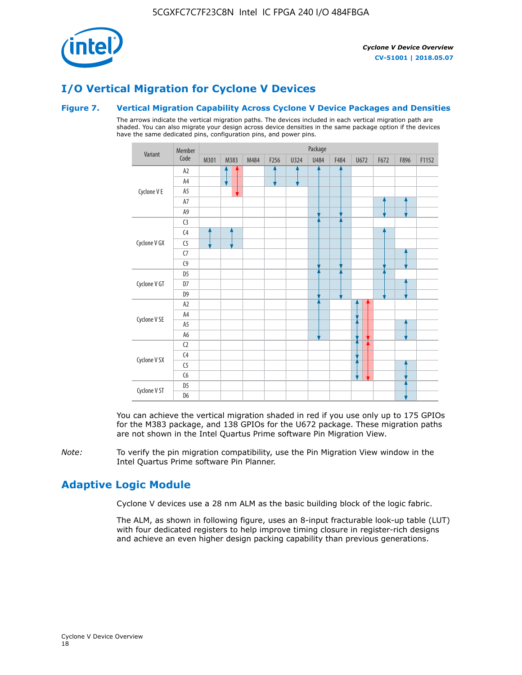

# **I/O Vertical Migration for Cyclone V Devices**

## **Figure 7. Vertical Migration Capability Across Cyclone V Device Packages and Densities**

The arrows indicate the vertical migration paths. The devices included in each vertical migration path are shaded. You can also migrate your design across device densities in the same package option if the devices have the same dedicated pins, configuration pins, and power pins.



You can achieve the vertical migration shaded in red if you use only up to 175 GPIOs for the M383 package, and 138 GPIOs for the U672 package. These migration paths are not shown in the Intel Quartus Prime software Pin Migration View.

*Note:* To verify the pin migration compatibility, use the Pin Migration View window in the Intel Quartus Prime software Pin Planner.

# **Adaptive Logic Module**

Cyclone V devices use a 28 nm ALM as the basic building block of the logic fabric.

The ALM, as shown in following figure, uses an 8-input fracturable look-up table (LUT) with four dedicated registers to help improve timing closure in register-rich designs and achieve an even higher design packing capability than previous generations.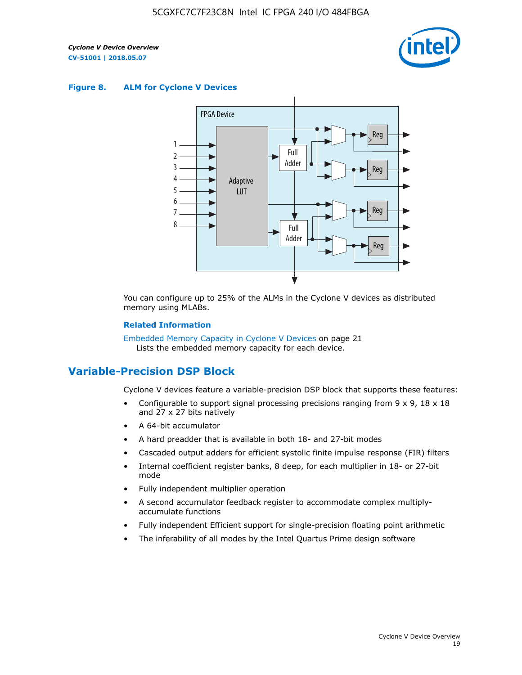

#### **Figure 8. ALM for Cyclone V Devices**



You can configure up to 25% of the ALMs in the Cyclone V devices as distributed memory using MLABs.

#### **Related Information**

Embedded Memory Capacity in Cyclone V Devices on page 21 Lists the embedded memory capacity for each device.

# **Variable-Precision DSP Block**

Cyclone V devices feature a variable-precision DSP block that supports these features:

- Configurable to support signal processing precisions ranging from  $9 \times 9$ ,  $18 \times 18$ and 27 x 27 bits natively
- A 64-bit accumulator
- A hard preadder that is available in both 18- and 27-bit modes
- Cascaded output adders for efficient systolic finite impulse response (FIR) filters
- Internal coefficient register banks, 8 deep, for each multiplier in 18- or 27-bit mode
- Fully independent multiplier operation
- A second accumulator feedback register to accommodate complex multiplyaccumulate functions
- Fully independent Efficient support for single-precision floating point arithmetic
- The inferability of all modes by the Intel Quartus Prime design software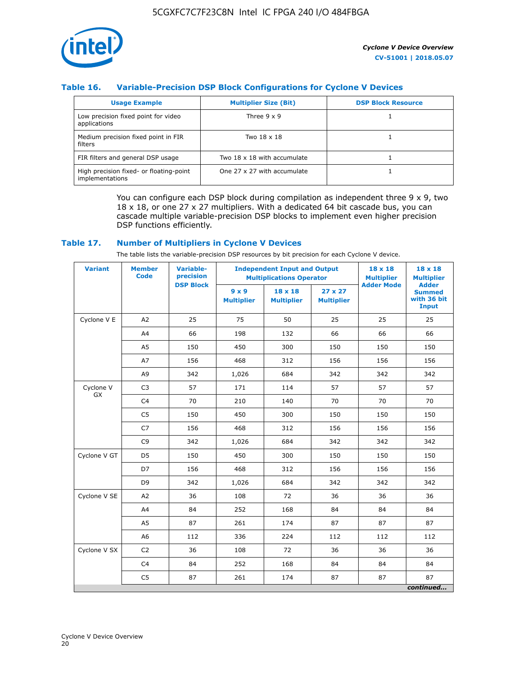

# **Table 16. Variable-Precision DSP Block Configurations for Cyclone V Devices**

| <b>Usage Example</b>                                       | <b>Multiplier Size (Bit)</b> | <b>DSP Block Resource</b> |
|------------------------------------------------------------|------------------------------|---------------------------|
| Low precision fixed point for video<br>applications        | Three $9 \times 9$           |                           |
| Medium precision fixed point in FIR<br>filters             | Two 18 x 18                  |                           |
| FIR filters and general DSP usage                          | Two 18 x 18 with accumulate  |                           |
| High precision fixed- or floating-point<br>implementations | One 27 x 27 with accumulate  |                           |

You can configure each DSP block during compilation as independent three  $9 \times 9$ , two 18 x 18, or one 27 x 27 multipliers. With a dedicated 64 bit cascade bus, you can cascade multiple variable-precision DSP blocks to implement even higher precision DSP functions efficiently.

## **Table 17. Number of Multipliers in Cyclone V Devices**

The table lists the variable-precision DSP resources by bit precision for each Cyclone V device.

| <b>Variant</b>  | <b>Member</b><br><b>Code</b> | <b>Variable-</b><br>precision |                                   | <b>Independent Input and Output</b><br><b>Multiplications Operator</b> | $18 \times 18$<br><b>Multiplier</b> | $18 \times 18$<br><b>Multiplier</b> |                                                              |
|-----------------|------------------------------|-------------------------------|-----------------------------------|------------------------------------------------------------------------|-------------------------------------|-------------------------------------|--------------------------------------------------------------|
|                 |                              | <b>DSP Block</b>              | $9 \times 9$<br><b>Multiplier</b> | $18 \times 18$<br><b>Multiplier</b>                                    | $27 \times 27$<br><b>Multiplier</b> | <b>Adder Mode</b>                   | <b>Adder</b><br><b>Summed</b><br>with 36 bit<br><b>Input</b> |
| Cyclone V E     | A2                           | 25                            | 75                                | 50                                                                     | 25                                  | 25                                  | 25                                                           |
|                 | A4                           | 66                            | 198                               | 132                                                                    | 66                                  | 66                                  | 66                                                           |
|                 | A5                           | 150                           | 450                               | 300                                                                    | 150                                 | 150                                 | 150                                                          |
|                 | A7                           | 156                           | 468                               | 312                                                                    | 156                                 | 156                                 | 156                                                          |
|                 | A9                           | 342                           | 1,026                             | 684                                                                    | 342                                 | 342                                 | 342                                                          |
| Cyclone V<br>GX | C <sub>3</sub>               | 57                            | 171                               | 114                                                                    | 57                                  | 57                                  | 57                                                           |
|                 | C <sub>4</sub>               | 70                            | 210                               | 140                                                                    | 70                                  | 70                                  | 70                                                           |
|                 | C <sub>5</sub>               | 150                           | 450                               | 300                                                                    | 150                                 | 150                                 | 150                                                          |
|                 | C7                           | 156                           | 468                               | 312                                                                    | 156                                 | 156                                 | 156                                                          |
|                 | C <sub>9</sub>               | 342                           | 1,026                             | 684                                                                    | 342                                 | 342                                 | 342                                                          |
| Cyclone V GT    | D <sub>5</sub>               | 150                           | 450                               | 300                                                                    | 150                                 | 150                                 | 150                                                          |
|                 | D7                           | 156                           | 468                               | 312                                                                    | 156                                 | 156                                 | 156                                                          |
|                 | D <sub>9</sub>               | 342                           | 1,026                             | 684                                                                    | 342                                 | 342                                 | 342                                                          |
| Cyclone V SE    | A <sub>2</sub>               | 36                            | 108                               | 72                                                                     | 36                                  | 36                                  | 36                                                           |
|                 | A4                           | 84                            | 252                               | 168                                                                    | 84                                  | 84                                  | 84                                                           |
|                 | A5                           | 87                            | 261                               | 174                                                                    | 87                                  | 87                                  | 87                                                           |
|                 | A <sub>6</sub>               | 112                           | 336                               | 224                                                                    | 112                                 | 112                                 | 112                                                          |
| Cyclone V SX    | C <sub>2</sub>               | 36                            | 108                               | 72                                                                     | 36                                  | 36                                  | 36                                                           |
|                 | C <sub>4</sub>               | 84                            | 252                               | 168                                                                    | 84                                  | 84                                  | 84                                                           |
|                 | C <sub>5</sub>               | 87                            | 261                               | 174                                                                    | 87                                  | 87                                  | 87                                                           |
|                 |                              |                               |                                   |                                                                        |                                     |                                     | continued                                                    |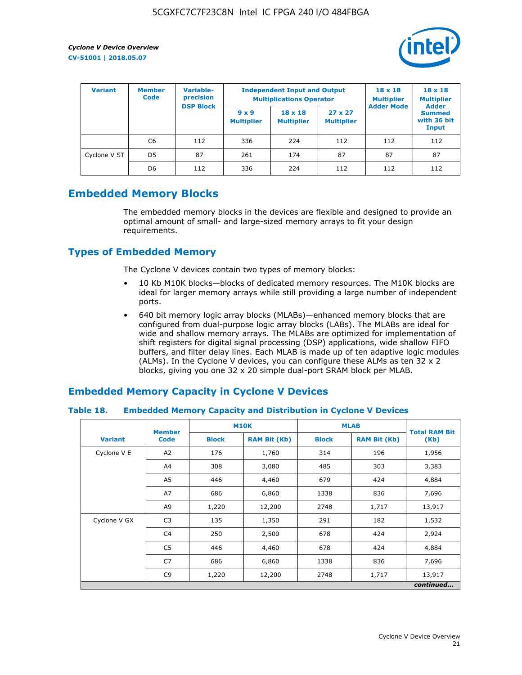

| <b>Variant</b> | Variable-<br><b>Member</b><br>precision<br><b>Code</b> |                  | <b>Independent Input and Output</b><br><b>Multiplications Operator</b> | $18 \times 18$<br><b>Multiplier</b> | $18 \times 18$<br><b>Multiplier</b><br><b>Adder</b> |                   |                                       |
|----------------|--------------------------------------------------------|------------------|------------------------------------------------------------------------|-------------------------------------|-----------------------------------------------------|-------------------|---------------------------------------|
|                |                                                        | <b>DSP Block</b> | $9 \times 9$<br><b>Multiplier</b>                                      | $18 \times 18$<br><b>Multiplier</b> | $27 \times 27$<br><b>Multiplier</b>                 | <b>Adder Mode</b> | <b>Summed</b><br>with 36 bit<br>Input |
|                | C6                                                     | 112              | 336                                                                    | 224                                 | 112                                                 | 112               | 112                                   |
| Cyclone V ST   | D <sub>5</sub>                                         | 87               | 261                                                                    | 174                                 | 87                                                  | 87                | 87                                    |
|                | D <sub>6</sub>                                         | 112              | 336                                                                    | 224                                 | 112                                                 | 112               | 112                                   |

# **Embedded Memory Blocks**

The embedded memory blocks in the devices are flexible and designed to provide an optimal amount of small- and large-sized memory arrays to fit your design requirements.

# **Types of Embedded Memory**

The Cyclone V devices contain two types of memory blocks:

- 10 Kb M10K blocks—blocks of dedicated memory resources. The M10K blocks are ideal for larger memory arrays while still providing a large number of independent ports.
- 640 bit memory logic array blocks (MLABs)—enhanced memory blocks that are configured from dual-purpose logic array blocks (LABs). The MLABs are ideal for wide and shallow memory arrays. The MLABs are optimized for implementation of shift registers for digital signal processing (DSP) applications, wide shallow FIFO buffers, and filter delay lines. Each MLAB is made up of ten adaptive logic modules (ALMs). In the Cyclone V devices, you can configure these ALMs as ten 32 x 2 blocks, giving you one 32 x 20 simple dual-port SRAM block per MLAB.

# **Embedded Memory Capacity in Cyclone V Devices**

## **Table 18. Embedded Memory Capacity and Distribution in Cyclone V Devices**

|                | <b>Member</b>  | <b>M10K</b>  |                     | <b>MLAB</b>  | <b>Total RAM Bit</b> |        |  |  |  |
|----------------|----------------|--------------|---------------------|--------------|----------------------|--------|--|--|--|
| <b>Variant</b> | <b>Code</b>    | <b>Block</b> | <b>RAM Bit (Kb)</b> | <b>Block</b> | <b>RAM Bit (Kb)</b>  | (Kb)   |  |  |  |
| Cyclone V E    | A2             | 176          | 1,760               | 314          | 196                  | 1,956  |  |  |  |
|                | A4             | 308          | 3,080               | 485          | 303                  | 3,383  |  |  |  |
|                | A5             | 446          | 4,460               | 679          | 424                  | 4,884  |  |  |  |
|                | A7             | 686          | 6,860               | 1338         | 836                  | 7,696  |  |  |  |
|                | A9             | 1,220        | 12,200              | 2748         | 1,717                | 13,917 |  |  |  |
| Cyclone V GX   | C <sub>3</sub> | 135          | 1,350               | 291          | 182                  | 1,532  |  |  |  |
|                | C4             | 250          | 2,500               | 678          | 424                  | 2,924  |  |  |  |
|                | C5             | 446          | 4,460               | 678          | 424                  | 4,884  |  |  |  |
|                | C7             | 686          | 6,860               | 1338         | 836                  | 7,696  |  |  |  |
|                | C <sub>9</sub> | 1,220        | 12,200              | 2748         | 1,717                | 13,917 |  |  |  |
|                | continued      |              |                     |              |                      |        |  |  |  |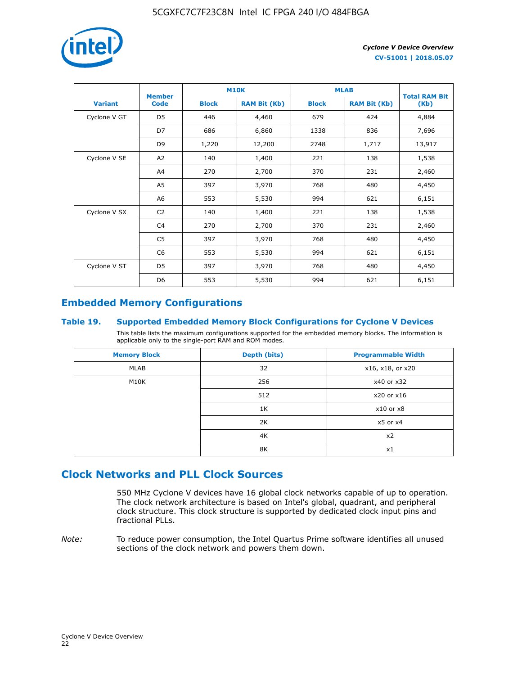

|                | <b>Member</b>  | <b>M10K</b>  |                     | <b>MLAB</b>  | <b>Total RAM Bit</b> |        |
|----------------|----------------|--------------|---------------------|--------------|----------------------|--------|
| <b>Variant</b> | <b>Code</b>    | <b>Block</b> | <b>RAM Bit (Kb)</b> | <b>Block</b> | <b>RAM Bit (Kb)</b>  | (Kb)   |
| Cyclone V GT   | D <sub>5</sub> | 446          | 4,460               | 679          | 424                  | 4,884  |
|                | D7             | 686          | 6,860               | 1338         | 836                  | 7,696  |
|                | D <sub>9</sub> | 1,220        | 12,200              | 2748         | 1,717                | 13,917 |
| Cyclone V SE   | A <sub>2</sub> | 140          | 1,400               | 221          | 138                  | 1,538  |
|                | A4             | 270          | 2,700               | 370          | 231                  | 2,460  |
|                | A5             | 397          | 3,970               | 768          | 480                  | 4,450  |
|                | A <sub>6</sub> | 553          | 5,530               | 994          | 621                  | 6,151  |
| Cyclone V SX   | C <sub>2</sub> | 140          | 1,400               | 221          | 138                  | 1,538  |
|                | C <sub>4</sub> | 270          | 2,700               | 370          | 231                  | 2,460  |
|                | C <sub>5</sub> | 397          | 3,970               | 768          | 480                  | 4,450  |
|                | C <sub>6</sub> | 553          | 5,530               | 994          | 621                  | 6,151  |
| Cyclone V ST   | D <sub>5</sub> | 397          | 3,970               | 768          | 480                  | 4,450  |
|                | D <sub>6</sub> | 553          | 5,530               | 994          | 621                  | 6,151  |

# **Embedded Memory Configurations**

# **Table 19. Supported Embedded Memory Block Configurations for Cyclone V Devices**

This table lists the maximum configurations supported for the embedded memory blocks. The information is applicable only to the single-port RAM and ROM modes.

| <b>Memory Block</b> | Depth (bits) | <b>Programmable Width</b> |
|---------------------|--------------|---------------------------|
| MLAB                | 32           | x16, x18, or x20          |
| M10K                | 256          | x40 or x32                |
|                     | 512          | x20 or x16                |
|                     | 1K           | $x10$ or $x8$             |
|                     | 2K           | $x5$ or $x4$              |
|                     | 4K           | x2                        |
|                     | 8K           | x1                        |

# **Clock Networks and PLL Clock Sources**

550 MHz Cyclone V devices have 16 global clock networks capable of up to operation. The clock network architecture is based on Intel's global, quadrant, and peripheral clock structure. This clock structure is supported by dedicated clock input pins and fractional PLLs.

*Note:* To reduce power consumption, the Intel Quartus Prime software identifies all unused sections of the clock network and powers them down.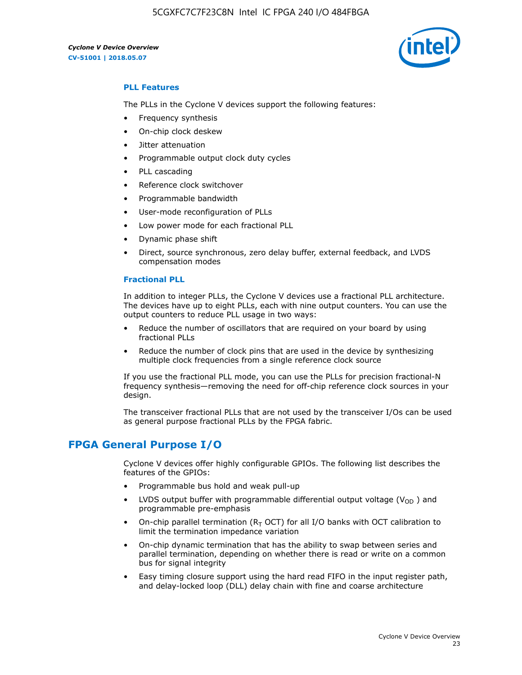

# **PLL Features**

The PLLs in the Cyclone V devices support the following features:

- Frequency synthesis
- On-chip clock deskew
- Jitter attenuation
- Programmable output clock duty cycles
- PLL cascading
- Reference clock switchover
- Programmable bandwidth
- User-mode reconfiguration of PLLs
- Low power mode for each fractional PLL
- Dynamic phase shift
- Direct, source synchronous, zero delay buffer, external feedback, and LVDS compensation modes

#### **Fractional PLL**

In addition to integer PLLs, the Cyclone V devices use a fractional PLL architecture. The devices have up to eight PLLs, each with nine output counters. You can use the output counters to reduce PLL usage in two ways:

- Reduce the number of oscillators that are required on your board by using fractional PLLs
- Reduce the number of clock pins that are used in the device by synthesizing multiple clock frequencies from a single reference clock source

If you use the fractional PLL mode, you can use the PLLs for precision fractional-N frequency synthesis—removing the need for off-chip reference clock sources in your design.

The transceiver fractional PLLs that are not used by the transceiver I/Os can be used as general purpose fractional PLLs by the FPGA fabric.

# **FPGA General Purpose I/O**

Cyclone V devices offer highly configurable GPIOs. The following list describes the features of the GPIOs:

- Programmable bus hold and weak pull-up
- LVDS output buffer with programmable differential output voltage ( $V_{OD}$ ) and programmable pre-emphasis
- On-chip parallel termination ( $R<sub>T</sub>$  OCT) for all I/O banks with OCT calibration to limit the termination impedance variation
- On-chip dynamic termination that has the ability to swap between series and parallel termination, depending on whether there is read or write on a common bus for signal integrity
- Easy timing closure support using the hard read FIFO in the input register path, and delay-locked loop (DLL) delay chain with fine and coarse architecture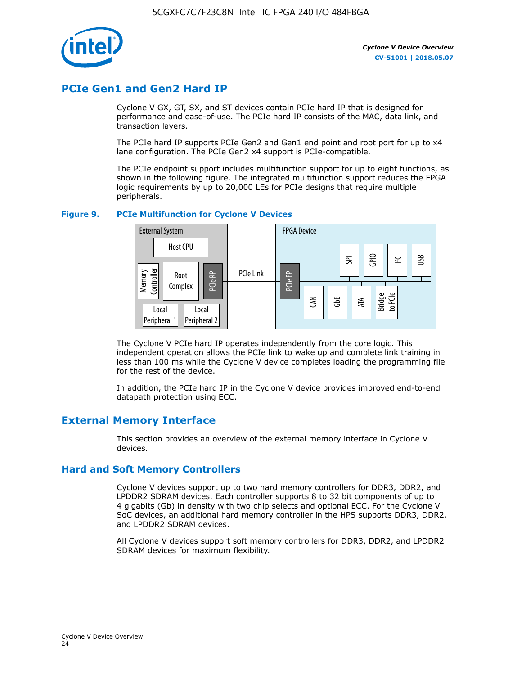

# **PCIe Gen1 and Gen2 Hard IP**

Cyclone V GX, GT, SX, and ST devices contain PCIe hard IP that is designed for performance and ease-of-use. The PCIe hard IP consists of the MAC, data link, and transaction layers.

The PCIe hard IP supports PCIe Gen2 and Gen1 end point and root port for up to x4 lane configuration. The PCIe Gen2 x4 support is PCIe-compatible.

The PCIe endpoint support includes multifunction support for up to eight functions, as shown in the following figure. The integrated multifunction support reduces the FPGA logic requirements by up to 20,000 LEs for PCIe designs that require multiple peripherals.

## **Figure 9. PCIe Multifunction for Cyclone V Devices**



The Cyclone V PCIe hard IP operates independently from the core logic. This independent operation allows the PCIe link to wake up and complete link training in less than 100 ms while the Cyclone V device completes loading the programming file for the rest of the device.

In addition, the PCIe hard IP in the Cyclone V device provides improved end-to-end datapath protection using ECC.

# **External Memory Interface**

This section provides an overview of the external memory interface in Cyclone V devices.

# **Hard and Soft Memory Controllers**

Cyclone V devices support up to two hard memory controllers for DDR3, DDR2, and LPDDR2 SDRAM devices. Each controller supports 8 to 32 bit components of up to 4 gigabits (Gb) in density with two chip selects and optional ECC. For the Cyclone V SoC devices, an additional hard memory controller in the HPS supports DDR3, DDR2, and LPDDR2 SDRAM devices.

All Cyclone V devices support soft memory controllers for DDR3, DDR2, and LPDDR2 SDRAM devices for maximum flexibility.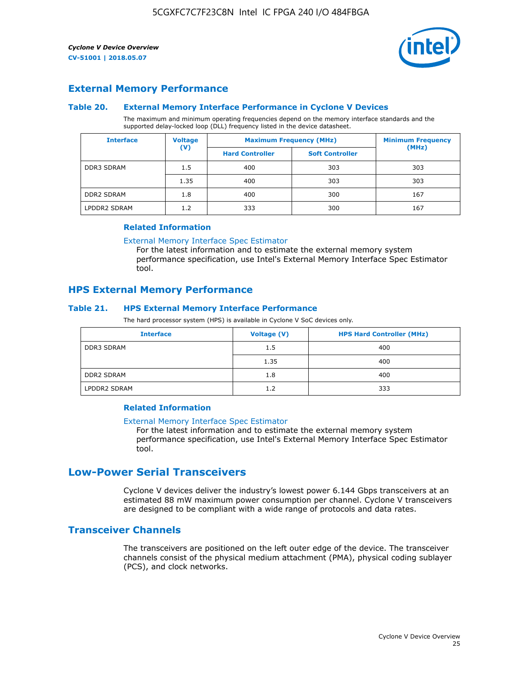

# **External Memory Performance**

## **Table 20. External Memory Interface Performance in Cyclone V Devices**

The maximum and minimum operating frequencies depend on the memory interface standards and the supported delay-locked loop (DLL) frequency listed in the device datasheet.

| <b>Interface</b>  | <b>Voltage</b> | <b>Maximum Frequency (MHz)</b> | <b>Minimum Frequency</b> |       |  |
|-------------------|----------------|--------------------------------|--------------------------|-------|--|
|                   | $(\mathsf{V})$ | <b>Hard Controller</b>         | <b>Soft Controller</b>   | (MHz) |  |
| <b>DDR3 SDRAM</b> | 1.5            | 400                            | 303                      | 303   |  |
|                   | 1.35           | 400                            | 303                      | 303   |  |
| <b>DDR2 SDRAM</b> | 1.8            | 400                            | 300                      | 167   |  |
| LPDDR2 SDRAM      | 1.2            | 333                            | 300                      | 167   |  |

#### **Related Information**

[External Memory Interface Spec Estimator](https://www.altera.com/solutions/technology/external-memory/spec-estimator.html)

For the latest information and to estimate the external memory system performance specification, use Intel's External Memory Interface Spec Estimator tool.

# **HPS External Memory Performance**

# **Table 21. HPS External Memory Interface Performance**

The hard processor system (HPS) is available in Cyclone V SoC devices only.

| <b>Interface</b>  | <b>Voltage (V)</b> | <b>HPS Hard Controller (MHz)</b> |
|-------------------|--------------------|----------------------------------|
| <b>DDR3 SDRAM</b> | 1.5                | 400                              |
|                   | 1.35               | 400                              |
| <b>DDR2 SDRAM</b> | 1.8                | 400                              |
| LPDDR2 SDRAM      | 1.2                | 333                              |

# **Related Information**

#### [External Memory Interface Spec Estimator](https://www.altera.com/solutions/technology/external-memory/spec-estimator.html)

For the latest information and to estimate the external memory system performance specification, use Intel's External Memory Interface Spec Estimator tool.

# **Low-Power Serial Transceivers**

Cyclone V devices deliver the industry's lowest power 6.144 Gbps transceivers at an estimated 88 mW maximum power consumption per channel. Cyclone V transceivers are designed to be compliant with a wide range of protocols and data rates.

# **Transceiver Channels**

The transceivers are positioned on the left outer edge of the device. The transceiver channels consist of the physical medium attachment (PMA), physical coding sublayer (PCS), and clock networks.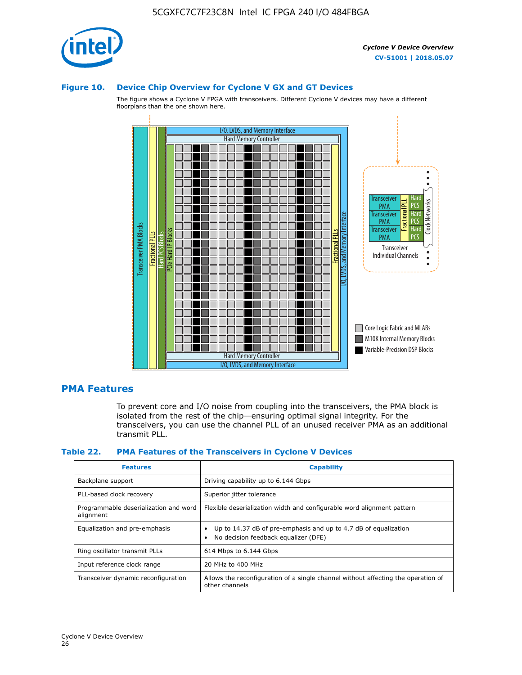

#### **Figure 10. Device Chip Overview for Cyclone V GX and GT Devices**

The figure shows a Cyclone V FPGA with transceivers. Different Cyclone V devices may have a different floorplans than the one shown here.



# **PMA Features**

To prevent core and I/O noise from coupling into the transceivers, the PMA block is isolated from the rest of the chip—ensuring optimal signal integrity. For the transceivers, you can use the channel PLL of an unused receiver PMA as an additional transmit PLL.

#### **Table 22. PMA Features of the Transceivers in Cyclone V Devices**

| <b>Features</b>                                    | <b>Capability</b>                                                                                       |
|----------------------------------------------------|---------------------------------------------------------------------------------------------------------|
| Backplane support                                  | Driving capability up to 6.144 Gbps                                                                     |
| PLL-based clock recovery                           | Superior jitter tolerance                                                                               |
| Programmable deserialization and word<br>alignment | Flexible deserialization width and configurable word alignment pattern                                  |
| Equalization and pre-emphasis                      | Up to 14.37 dB of pre-emphasis and up to 4.7 dB of equalization<br>No decision feedback equalizer (DFE) |
| Ring oscillator transmit PLLs                      | 614 Mbps to 6.144 Gbps                                                                                  |
| Input reference clock range                        | 20 MHz to 400 MHz                                                                                       |
| Transceiver dynamic reconfiguration                | Allows the reconfiguration of a single channel without affecting the operation of<br>other channels     |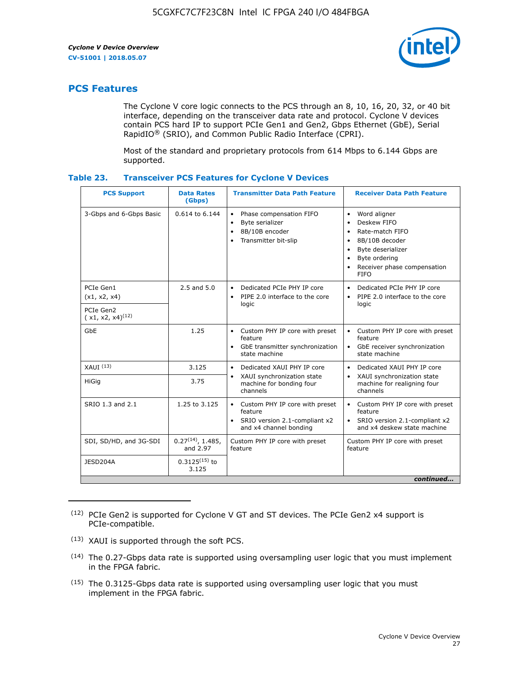

# **PCS Features**

The Cyclone V core logic connects to the PCS through an 8, 10, 16, 20, 32, or 40 bit interface, depending on the transceiver data rate and protocol. Cyclone V devices contain PCS hard IP to support PCIe Gen1 and Gen2, Gbps Ethernet (GbE), Serial RapidIO® (SRIO), and Common Public Radio Interface (CPRI).

Most of the standard and proprietary protocols from 614 Mbps to 6.144 Gbps are supported.

| Table 23. | <b>Transceiver PCS Features for Cyclone V Devices</b> |  |  |  |
|-----------|-------------------------------------------------------|--|--|--|
|-----------|-------------------------------------------------------|--|--|--|

| <b>PCS Support</b>                 | <b>Data Rates</b><br>(Gbps)        | <b>Transmitter Data Path Feature</b>                                                                         | <b>Receiver Data Path Feature</b>                                                                                                                                                                                                  |  |  |  |
|------------------------------------|------------------------------------|--------------------------------------------------------------------------------------------------------------|------------------------------------------------------------------------------------------------------------------------------------------------------------------------------------------------------------------------------------|--|--|--|
| 3-Gbps and 6-Gbps Basic            | 0.614 to 6.144                     | • Phase compensation FIFO<br>Byte serializer<br>8B/10B encoder<br>Transmitter bit-slip                       | Word aligner<br>$\bullet$<br>Deskew FIFO<br>$\bullet$<br>Rate-match FIFO<br>$\bullet$<br>8B/10B decoder<br>$\bullet$<br>Byte deserializer<br>$\bullet$<br>Byte ordering<br>$\bullet$<br>Receiver phase compensation<br><b>FIFO</b> |  |  |  |
| PCIe Gen1<br>(x1, x2, x4)          | $2.5$ and $5.0$                    | Dedicated PCIe PHY IP core<br>PIPE 2.0 interface to the core<br>$\bullet$<br>logic                           | Dedicated PCIe PHY IP core<br>$\bullet$<br>PIPE 2.0 interface to the core<br>$\bullet$<br>logic                                                                                                                                    |  |  |  |
| PCIe Gen2<br>$(x1, x2, x4)^{(12)}$ |                                    |                                                                                                              |                                                                                                                                                                                                                                    |  |  |  |
| GbE                                | 1.25                               | • Custom PHY IP core with preset<br>feature<br>GbE transmitter synchronization<br>$\bullet$<br>state machine | • Custom PHY IP core with preset<br>feature<br>GbE receiver synchronization<br>state machine                                                                                                                                       |  |  |  |
| $XAUI$ $(13)$                      | 3.125                              | Dedicated XAUI PHY IP core<br>$\bullet$                                                                      | Dedicated XAUI PHY IP core<br>$\bullet$                                                                                                                                                                                            |  |  |  |
| <b>HiGig</b>                       | 3.75                               | XAUI synchronization state<br>$\bullet$<br>machine for bonding four<br>channels                              | XAUI synchronization state<br>$\bullet$<br>machine for realigning four<br>channels                                                                                                                                                 |  |  |  |
| SRIO 1.3 and 2.1                   | 1.25 to 3.125                      | • Custom PHY IP core with preset<br>feature<br>• SRIO version 2.1-compliant x2<br>and x4 channel bonding     | • Custom PHY IP core with preset<br>feature<br>• SRIO version 2.1-compliant x2<br>and x4 deskew state machine                                                                                                                      |  |  |  |
| SDI, SD/HD, and 3G-SDI             | $0.27^{(14)}$ , 1.485,<br>and 2.97 | Custom PHY IP core with preset<br>feature                                                                    | Custom PHY IP core with preset<br>feature                                                                                                                                                                                          |  |  |  |
| JESD204A                           | $0.3125^{(15)}$ to<br>3.125        |                                                                                                              |                                                                                                                                                                                                                                    |  |  |  |
| continued                          |                                    |                                                                                                              |                                                                                                                                                                                                                                    |  |  |  |

<sup>(12)</sup> PCIe Gen2 is supported for Cyclone V GT and ST devices. The PCIe Gen2 x4 support is PCIe-compatible.

<sup>(13)</sup> XAUI is supported through the soft PCS.

<sup>(14)</sup> The 0.27-Gbps data rate is supported using oversampling user logic that you must implement in the FPGA fabric.

<sup>(15)</sup> The 0.3125-Gbps data rate is supported using oversampling user logic that you must implement in the FPGA fabric.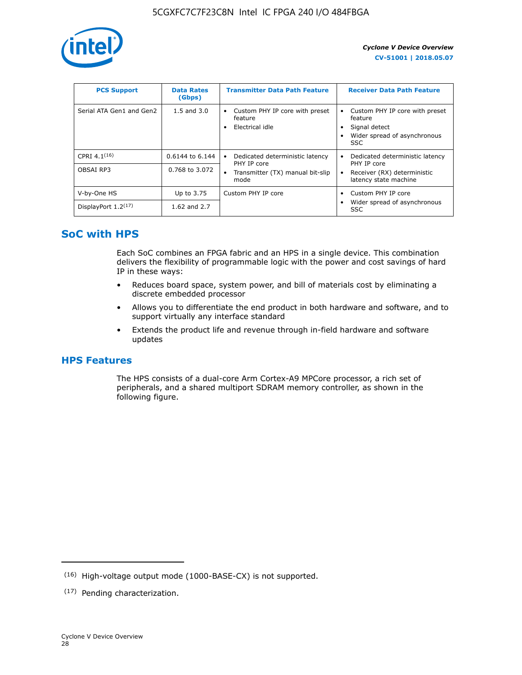

| <b>PCS Support</b>       | <b>Data Rates</b><br>(Gbps) | <b>Transmitter Data Path Feature</b>                         | <b>Receiver Data Path Feature</b>                                                                        |
|--------------------------|-----------------------------|--------------------------------------------------------------|----------------------------------------------------------------------------------------------------------|
| Serial ATA Gen1 and Gen2 | $1.5$ and $3.0$             | Custom PHY IP core with preset<br>feature<br>Electrical idle | Custom PHY IP core with preset<br>feature<br>Signal detect<br>Wider spread of asynchronous<br><b>SSC</b> |
| CPRI 4.1 $(16)$          | 0.6144 to 6.144             | Dedicated deterministic latency<br>٠<br>PHY IP core          | Dedicated deterministic latency<br>PHY IP core                                                           |
| OBSAI RP3                | 0.768 to 3.072              | Transmitter (TX) manual bit-slip<br>$\bullet$<br>mode        | Receiver (RX) deterministic<br>latency state machine                                                     |
| V-by-One HS              | Up to 3.75                  | Custom PHY IP core                                           | Custom PHY IP core                                                                                       |
| DisplayPort $1.2^{(17)}$ | 1.62 and 2.7                |                                                              | Wider spread of asynchronous<br><b>SSC</b>                                                               |

# **SoC with HPS**

Each SoC combines an FPGA fabric and an HPS in a single device. This combination delivers the flexibility of programmable logic with the power and cost savings of hard IP in these ways:

- Reduces board space, system power, and bill of materials cost by eliminating a discrete embedded processor
- Allows you to differentiate the end product in both hardware and software, and to support virtually any interface standard
- Extends the product life and revenue through in-field hardware and software updates

# **HPS Features**

The HPS consists of a dual-core Arm Cortex-A9 MPCore processor, a rich set of peripherals, and a shared multiport SDRAM memory controller, as shown in the following figure.

<sup>(16)</sup> High-voltage output mode (1000-BASE-CX) is not supported.

<sup>(17)</sup> Pending characterization.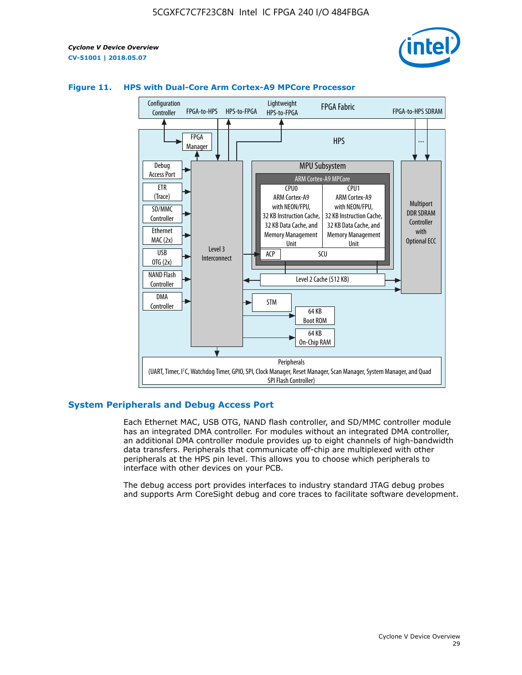



# **Figure 11. HPS with Dual-Core Arm Cortex-A9 MPCore Processor**

# **System Peripherals and Debug Access Port**

Each Ethernet MAC, USB OTG, NAND flash controller, and SD/MMC controller module has an integrated DMA controller. For modules without an integrated DMA controller, an additional DMA controller module provides up to eight channels of high-bandwidth data transfers. Peripherals that communicate off-chip are multiplexed with other peripherals at the HPS pin level. This allows you to choose which peripherals to interface with other devices on your PCB.

The debug access port provides interfaces to industry standard JTAG debug probes and supports Arm CoreSight debug and core traces to facilitate software development.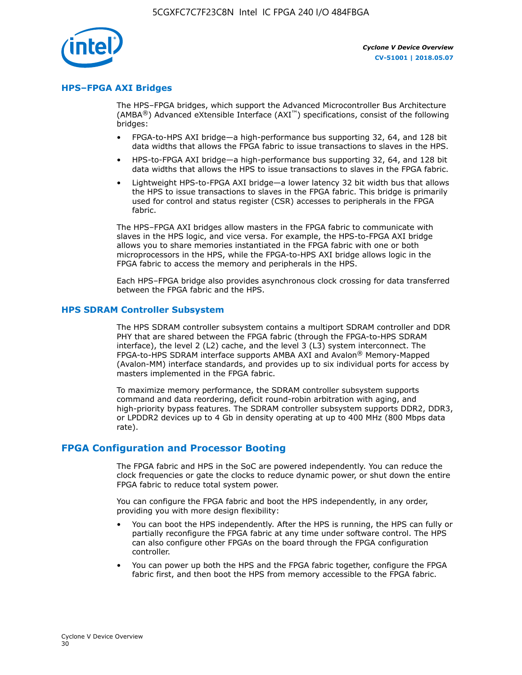

# **HPS–FPGA AXI Bridges**

The HPS–FPGA bridges, which support the Advanced Microcontroller Bus Architecture (AMBA<sup>®</sup>) Advanced eXtensible Interface (AXI<sup>™</sup>) specifications, consist of the following bridges:

- FPGA-to-HPS AXI bridge—a high-performance bus supporting 32, 64, and 128 bit data widths that allows the FPGA fabric to issue transactions to slaves in the HPS.
- HPS-to-FPGA AXI bridge—a high-performance bus supporting 32, 64, and 128 bit data widths that allows the HPS to issue transactions to slaves in the FPGA fabric.
- Lightweight HPS-to-FPGA AXI bridge—a lower latency 32 bit width bus that allows the HPS to issue transactions to slaves in the FPGA fabric. This bridge is primarily used for control and status register (CSR) accesses to peripherals in the FPGA fabric.

The HPS–FPGA AXI bridges allow masters in the FPGA fabric to communicate with slaves in the HPS logic, and vice versa. For example, the HPS-to-FPGA AXI bridge allows you to share memories instantiated in the FPGA fabric with one or both microprocessors in the HPS, while the FPGA-to-HPS AXI bridge allows logic in the FPGA fabric to access the memory and peripherals in the HPS.

Each HPS–FPGA bridge also provides asynchronous clock crossing for data transferred between the FPGA fabric and the HPS.

#### **HPS SDRAM Controller Subsystem**

The HPS SDRAM controller subsystem contains a multiport SDRAM controller and DDR PHY that are shared between the FPGA fabric (through the FPGA-to-HPS SDRAM interface), the level 2 (L2) cache, and the level 3 (L3) system interconnect. The FPGA-to-HPS SDRAM interface supports AMBA AXI and Avalon® Memory-Mapped (Avalon-MM) interface standards, and provides up to six individual ports for access by masters implemented in the FPGA fabric.

To maximize memory performance, the SDRAM controller subsystem supports command and data reordering, deficit round-robin arbitration with aging, and high-priority bypass features. The SDRAM controller subsystem supports DDR2, DDR3, or LPDDR2 devices up to 4 Gb in density operating at up to 400 MHz (800 Mbps data rate).

## **FPGA Configuration and Processor Booting**

The FPGA fabric and HPS in the SoC are powered independently. You can reduce the clock frequencies or gate the clocks to reduce dynamic power, or shut down the entire FPGA fabric to reduce total system power.

You can configure the FPGA fabric and boot the HPS independently, in any order, providing you with more design flexibility:

- You can boot the HPS independently. After the HPS is running, the HPS can fully or partially reconfigure the FPGA fabric at any time under software control. The HPS can also configure other FPGAs on the board through the FPGA configuration controller.
- You can power up both the HPS and the FPGA fabric together, configure the FPGA fabric first, and then boot the HPS from memory accessible to the FPGA fabric.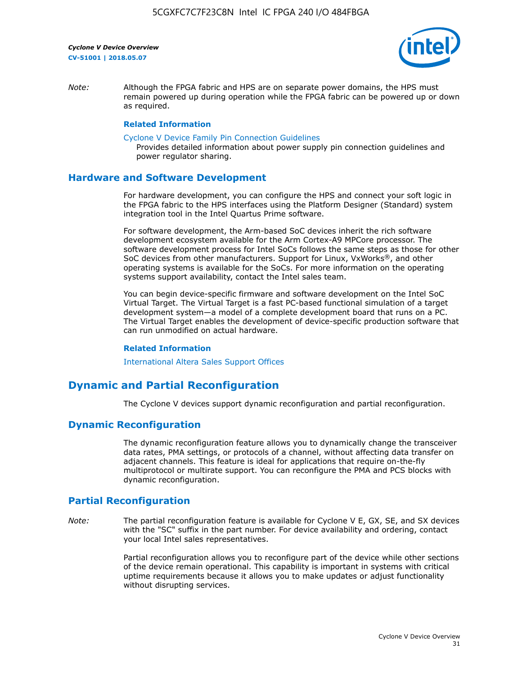

*Note:* Although the FPGA fabric and HPS are on separate power domains, the HPS must remain powered up during operation while the FPGA fabric can be powered up or down as required.

## **Related Information**

[Cyclone V Device Family Pin Connection Guidelines](https://www.altera.com/content/dam/altera-www/global/en_US/pdfs/literature/dp/cyclone-v/pcg-01014.pdf)

Provides detailed information about power supply pin connection guidelines and power regulator sharing.

# **Hardware and Software Development**

For hardware development, you can configure the HPS and connect your soft logic in the FPGA fabric to the HPS interfaces using the Platform Designer (Standard) system integration tool in the Intel Quartus Prime software.

For software development, the Arm-based SoC devices inherit the rich software development ecosystem available for the Arm Cortex-A9 MPCore processor. The software development process for Intel SoCs follows the same steps as those for other SoC devices from other manufacturers. Support for Linux, VxWorks®, and other operating systems is available for the SoCs. For more information on the operating systems support availability, contact the Intel sales team.

You can begin device-specific firmware and software development on the Intel SoC Virtual Target. The Virtual Target is a fast PC-based functional simulation of a target development system—a model of a complete development board that runs on a PC. The Virtual Target enables the development of device-specific production software that can run unmodified on actual hardware.

#### **Related Information**

[International Altera Sales Support Offices](https://www.altera.com/about/contact/contact/international-altera-sales-offices.html)

# **Dynamic and Partial Reconfiguration**

The Cyclone V devices support dynamic reconfiguration and partial reconfiguration.

# **Dynamic Reconfiguration**

The dynamic reconfiguration feature allows you to dynamically change the transceiver data rates, PMA settings, or protocols of a channel, without affecting data transfer on adjacent channels. This feature is ideal for applications that require on-the-fly multiprotocol or multirate support. You can reconfigure the PMA and PCS blocks with dynamic reconfiguration.

# **Partial Reconfiguration**

*Note:* The partial reconfiguration feature is available for Cyclone V E, GX, SE, and SX devices with the "SC" suffix in the part number. For device availability and ordering, contact your local Intel sales representatives.

> Partial reconfiguration allows you to reconfigure part of the device while other sections of the device remain operational. This capability is important in systems with critical uptime requirements because it allows you to make updates or adjust functionality without disrupting services.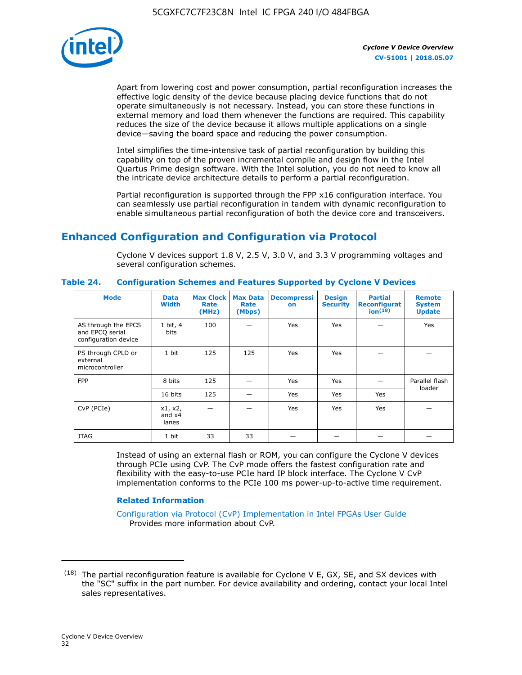

Apart from lowering cost and power consumption, partial reconfiguration increases the effective logic density of the device because placing device functions that do not operate simultaneously is not necessary. Instead, you can store these functions in external memory and load them whenever the functions are required. This capability reduces the size of the device because it allows multiple applications on a single device—saving the board space and reducing the power consumption.

Intel simplifies the time-intensive task of partial reconfiguration by building this capability on top of the proven incremental compile and design flow in the Intel Quartus Prime design software. With the Intel solution, you do not need to know all the intricate device architecture details to perform a partial reconfiguration.

Partial reconfiguration is supported through the FPP x16 configuration interface. You can seamlessly use partial reconfiguration in tandem with dynamic reconfiguration to enable simultaneous partial reconfiguration of both the device core and transceivers.

# **Enhanced Configuration and Configuration via Protocol**

Cyclone V devices support 1.8 V, 2.5 V, 3.0 V, and 3.3 V programming voltages and several configuration schemes.

| <b>Mode</b>                                                    | <b>Data</b><br>Width         | Max Clock  <br>Rate<br>(MHz) | <b>Max Data</b><br>Rate<br>(Mbps) | <b>Decompressi</b><br>on | <b>Design</b><br><b>Security</b> | <b>Partial</b><br><b>Reconfigurat</b><br>ion <sup>(18)</sup> | <b>Remote</b><br><b>System</b><br><b>Update</b> |
|----------------------------------------------------------------|------------------------------|------------------------------|-----------------------------------|--------------------------|----------------------------------|--------------------------------------------------------------|-------------------------------------------------|
| AS through the EPCS<br>and EPCQ serial<br>configuration device | 1 bit, 4<br>bits             | 100                          |                                   | Yes                      | <b>Yes</b>                       |                                                              | Yes                                             |
| PS through CPLD or<br>external<br>microcontroller              | 1 bit                        | 125                          | 125                               | Yes                      | Yes                              |                                                              |                                                 |
| <b>FPP</b>                                                     | 8 bits                       | 125                          |                                   | Yes                      | <b>Yes</b>                       |                                                              | Parallel flash                                  |
|                                                                | 16 bits                      | 125                          |                                   | Yes                      | <b>Yes</b>                       | Yes                                                          | loader                                          |
| CvP (PCIe)                                                     | x1, x2,<br>and $x4$<br>lanes |                              |                                   | Yes                      | <b>Yes</b>                       | Yes                                                          |                                                 |
| <b>JTAG</b>                                                    | 1 bit                        | 33                           | 33                                |                          |                                  |                                                              |                                                 |

**Table 24. Configuration Schemes and Features Supported by Cyclone V Devices**

Instead of using an external flash or ROM, you can configure the Cyclone V devices through PCIe using CvP. The CvP mode offers the fastest configuration rate and flexibility with the easy-to-use PCIe hard IP block interface. The Cyclone V CvP implementation conforms to the PCIe 100 ms power-up-to-active time requirement.

## **Related Information**

[Configuration via Protocol \(CvP\) Implementation in Intel FPGAs User Guide](https://www.altera.com/documentation/nik1412546950394.html#nik1412546833714) Provides more information about CvP.

 $(18)$  The partial reconfiguration feature is available for Cyclone V E, GX, SE, and SX devices with the "SC" suffix in the part number. For device availability and ordering, contact your local Intel sales representatives.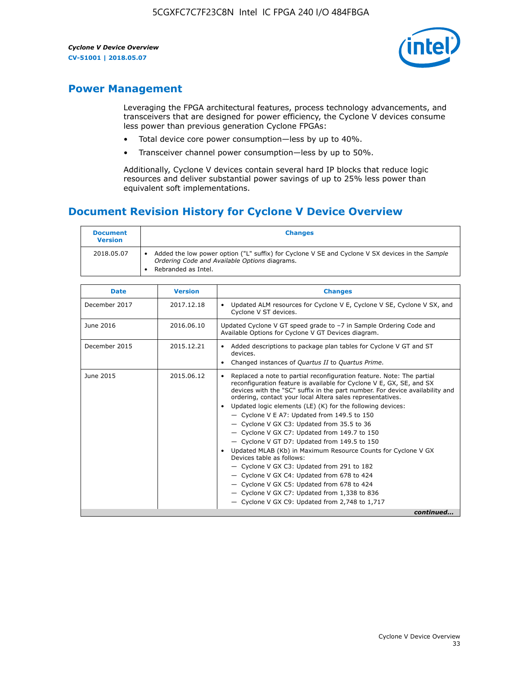

# **Power Management**

Leveraging the FPGA architectural features, process technology advancements, and transceivers that are designed for power efficiency, the Cyclone V devices consume less power than previous generation Cyclone FPGAs:

- Total device core power consumption—less by up to 40%.
- Transceiver channel power consumption—less by up to 50%.

Additionally, Cyclone V devices contain several hard IP blocks that reduce logic resources and deliver substantial power savings of up to 25% less power than equivalent soft implementations.

# **Document Revision History for Cyclone V Device Overview**

| <b>Document</b><br><b>Version</b> | <b>Changes</b>                                                                                                                                                          |
|-----------------------------------|-------------------------------------------------------------------------------------------------------------------------------------------------------------------------|
| 2018.05.07                        | Added the low power option ("L" suffix) for Cyclone V SE and Cyclone V SX devices in the Sample<br>Ordering Code and Available Options diagrams.<br>Rebranded as Intel. |

| <b>Date</b>   | <b>Version</b> | <b>Changes</b>                                                                                                                                                                                                                                                                                                                                                                                                                                                                                                                                                                                                                                                                                                                                                                                                                                                                                                    |
|---------------|----------------|-------------------------------------------------------------------------------------------------------------------------------------------------------------------------------------------------------------------------------------------------------------------------------------------------------------------------------------------------------------------------------------------------------------------------------------------------------------------------------------------------------------------------------------------------------------------------------------------------------------------------------------------------------------------------------------------------------------------------------------------------------------------------------------------------------------------------------------------------------------------------------------------------------------------|
| December 2017 | 2017.12.18     | Updated ALM resources for Cyclone V E, Cyclone V SE, Cyclone V SX, and<br>Cyclone V ST devices.                                                                                                                                                                                                                                                                                                                                                                                                                                                                                                                                                                                                                                                                                                                                                                                                                   |
| June 2016     | 2016.06.10     | Updated Cyclone V GT speed grade to -7 in Sample Ordering Code and<br>Available Options for Cyclone V GT Devices diagram.                                                                                                                                                                                                                                                                                                                                                                                                                                                                                                                                                                                                                                                                                                                                                                                         |
| December 2015 | 2015.12.21     | Added descriptions to package plan tables for Cyclone V GT and ST<br>devices.<br>Changed instances of <i>Quartus II</i> to <i>Quartus Prime</i> .                                                                                                                                                                                                                                                                                                                                                                                                                                                                                                                                                                                                                                                                                                                                                                 |
| June 2015     | 2015.06.12     | Replaced a note to partial reconfiguration feature. Note: The partial<br>reconfiguration feature is available for Cyclone V E, GX, SE, and SX<br>devices with the "SC" suffix in the part number. For device availability and<br>ordering, contact your local Altera sales representatives.<br>Updated logic elements (LE) (K) for the following devices:<br>$\bullet$<br>$-$ Cyclone V E A7: Updated from 149.5 to 150<br>- Cyclone V GX C3: Updated from 35.5 to 36<br>- Cyclone V GX C7: Updated from 149.7 to 150<br>- Cyclone V GT D7: Updated from 149.5 to 150<br>Updated MLAB (Kb) in Maximum Resource Counts for Cyclone V GX<br>Devices table as follows:<br>- Cyclone V GX C3: Updated from 291 to 182<br>- Cyclone V GX C4: Updated from 678 to 424<br>- Cyclone V GX C5: Updated from 678 to 424<br>- Cyclone V GX C7: Updated from 1,338 to 836<br>$-$ Cyclone V GX C9: Updated from 2,748 to 1,717 |
|               |                | continued                                                                                                                                                                                                                                                                                                                                                                                                                                                                                                                                                                                                                                                                                                                                                                                                                                                                                                         |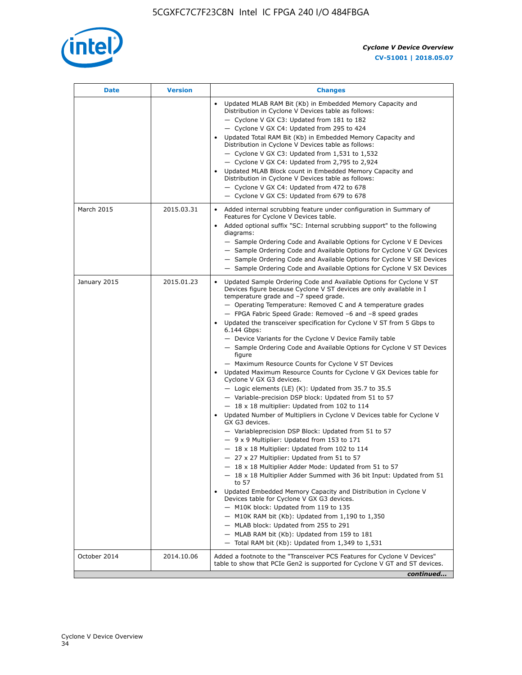

| Date         | <b>Version</b> | <b>Changes</b>                                                                                                                                                                                                                                                                                                                                                                                                                                                                                                                                                                                                                                                                                                                                                                                                                                                                                                                                                                                                                                                                                                                                                                                                                                                                                                                                                                                                                                                                                                                                                                                                                                                                                                |
|--------------|----------------|---------------------------------------------------------------------------------------------------------------------------------------------------------------------------------------------------------------------------------------------------------------------------------------------------------------------------------------------------------------------------------------------------------------------------------------------------------------------------------------------------------------------------------------------------------------------------------------------------------------------------------------------------------------------------------------------------------------------------------------------------------------------------------------------------------------------------------------------------------------------------------------------------------------------------------------------------------------------------------------------------------------------------------------------------------------------------------------------------------------------------------------------------------------------------------------------------------------------------------------------------------------------------------------------------------------------------------------------------------------------------------------------------------------------------------------------------------------------------------------------------------------------------------------------------------------------------------------------------------------------------------------------------------------------------------------------------------------|
|              |                | Updated MLAB RAM Bit (Kb) in Embedded Memory Capacity and<br>Distribution in Cyclone V Devices table as follows:<br>- Cyclone V GX C3: Updated from 181 to 182<br>- Cyclone V GX C4: Updated from 295 to 424<br>Updated Total RAM Bit (Kb) in Embedded Memory Capacity and<br>Distribution in Cyclone V Devices table as follows:<br>- Cyclone V GX C3: Updated from 1,531 to 1,532<br>- Cyclone V GX C4: Updated from 2,795 to 2,924<br>Updated MLAB Block count in Embedded Memory Capacity and<br>Distribution in Cyclone V Devices table as follows:<br>- Cyclone V GX C4: Updated from 472 to 678<br>- Cyclone V GX C5: Updated from 679 to 678                                                                                                                                                                                                                                                                                                                                                                                                                                                                                                                                                                                                                                                                                                                                                                                                                                                                                                                                                                                                                                                          |
| March 2015   | 2015.03.31     | Added internal scrubbing feature under configuration in Summary of<br>$\bullet$<br>Features for Cyclone V Devices table.<br>Added optional suffix "SC: Internal scrubbing support" to the following<br>diagrams:<br>- Sample Ordering Code and Available Options for Cyclone V E Devices<br>- Sample Ordering Code and Available Options for Cyclone V GX Devices<br>- Sample Ordering Code and Available Options for Cyclone V SE Devices<br>- Sample Ordering Code and Available Options for Cyclone V SX Devices                                                                                                                                                                                                                                                                                                                                                                                                                                                                                                                                                                                                                                                                                                                                                                                                                                                                                                                                                                                                                                                                                                                                                                                           |
| January 2015 | 2015.01.23     | Updated Sample Ordering Code and Available Options for Cyclone V ST<br>Devices figure because Cyclone V ST devices are only available in I<br>temperature grade and -7 speed grade.<br>- Operating Temperature: Removed C and A temperature grades<br>- FPGA Fabric Speed Grade: Removed -6 and -8 speed grades<br>Updated the transceiver specification for Cyclone V ST from 5 Gbps to<br>6.144 Gbps:<br>- Device Variants for the Cyclone V Device Family table<br>- Sample Ordering Code and Available Options for Cyclone V ST Devices<br>figure<br>- Maximum Resource Counts for Cyclone V ST Devices<br>Updated Maximum Resource Counts for Cyclone V GX Devices table for<br>Cyclone V GX G3 devices.<br>$-$ Logic elements (LE) (K): Updated from 35.7 to 35.5<br>- Variable-precision DSP block: Updated from 51 to 57<br>$-18 \times 18$ multiplier: Updated from 102 to 114<br>Updated Number of Multipliers in Cyclone V Devices table for Cyclone V<br>GX G3 devices.<br>- Variableprecision DSP Block: Updated from 51 to 57<br>$-9x9$ Multiplier: Updated from 153 to 171<br>$-18 \times 18$ Multiplier: Updated from 102 to 114<br>- 27 x 27 Multiplier: Updated from 51 to 57<br>- 18 x 18 Multiplier Adder Mode: Updated from 51 to 57<br>$-18 \times 18$ Multiplier Adder Summed with 36 bit Input: Updated from 51<br>to 57<br>Updated Embedded Memory Capacity and Distribution in Cyclone V<br>Devices table for Cyclone V GX G3 devices.<br>- M10K block: Updated from 119 to 135<br>- M10K RAM bit (Kb): Updated from 1,190 to 1,350<br>- MLAB block: Updated from 255 to 291<br>- MLAB RAM bit (Kb): Updated from 159 to 181<br>$-$ Total RAM bit (Kb): Updated from 1,349 to 1,531 |
| October 2014 | 2014.10.06     | Added a footnote to the "Transceiver PCS Features for Cyclone V Devices"<br>table to show that PCIe Gen2 is supported for Cyclone V GT and ST devices.                                                                                                                                                                                                                                                                                                                                                                                                                                                                                                                                                                                                                                                                                                                                                                                                                                                                                                                                                                                                                                                                                                                                                                                                                                                                                                                                                                                                                                                                                                                                                        |
|              |                | continued                                                                                                                                                                                                                                                                                                                                                                                                                                                                                                                                                                                                                                                                                                                                                                                                                                                                                                                                                                                                                                                                                                                                                                                                                                                                                                                                                                                                                                                                                                                                                                                                                                                                                                     |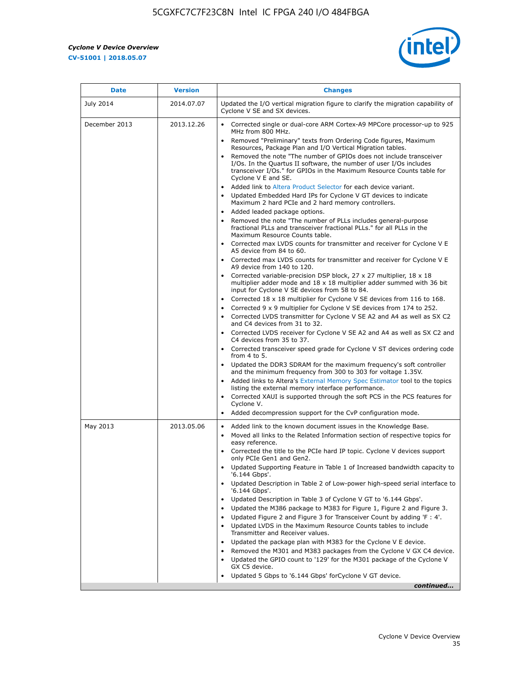

| <b>Date</b>   | <b>Version</b> | <b>Changes</b>                                                                                                                                                                                                                           |
|---------------|----------------|------------------------------------------------------------------------------------------------------------------------------------------------------------------------------------------------------------------------------------------|
| July 2014     | 2014.07.07     | Updated the I/O vertical migration figure to clarify the migration capability of<br>Cyclone V SE and SX devices.                                                                                                                         |
| December 2013 | 2013.12.26     | Corrected single or dual-core ARM Cortex-A9 MPCore processor-up to 925<br>MHz from 800 MHz.                                                                                                                                              |
|               |                | Removed "Preliminary" texts from Ordering Code figures, Maximum<br>Resources, Package Plan and I/O Vertical Migration tables.                                                                                                            |
|               |                | Removed the note "The number of GPIOs does not include transceiver<br>I/Os. In the Quartus II software, the number of user I/Os includes<br>transceiver I/Os." for GPIOs in the Maximum Resource Counts table for<br>Cyclone V E and SE. |
|               |                | Added link to Altera Product Selector for each device variant.<br>Updated Embedded Hard IPs for Cyclone V GT devices to indicate<br>Maximum 2 hard PCIe and 2 hard memory controllers.                                                   |
|               |                | • Added leaded package options.<br>Removed the note "The number of PLLs includes general-purpose<br>fractional PLLs and transceiver fractional PLLs." for all PLLs in the<br>Maximum Resource Counts table.                              |
|               |                | • Corrected max LVDS counts for transmitter and receiver for Cyclone V E<br>A5 device from 84 to 60.                                                                                                                                     |
|               |                | Corrected max LVDS counts for transmitter and receiver for Cyclone V E<br>A9 device from 140 to 120.                                                                                                                                     |
|               |                | Corrected variable-precision DSP block, 27 x 27 multiplier, 18 x 18<br>multiplier adder mode and $18 \times 18$ multiplier adder summed with 36 bit<br>input for Cyclone V SE devices from 58 to 84.                                     |
|               |                | Corrected 18 x 18 multiplier for Cyclone V SE devices from 116 to 168.<br>Corrected 9 x 9 multiplier for Cyclone V SE devices from 174 to 252.                                                                                           |
|               |                | Corrected LVDS transmitter for Cyclone V SE A2 and A4 as well as SX C2<br>and C4 devices from 31 to 32.                                                                                                                                  |
|               |                | Corrected LVDS receiver for Cyclone V SE A2 and A4 as well as SX C2 and<br>C4 devices from 35 to 37.                                                                                                                                     |
|               |                | • Corrected transceiver speed grade for Cyclone V ST devices ordering code<br>from 4 to 5.                                                                                                                                               |
|               |                | Updated the DDR3 SDRAM for the maximum frequency's soft controller<br>and the minimum frequency from 300 to 303 for voltage 1.35V.                                                                                                       |
|               |                | Added links to Altera's External Memory Spec Estimator tool to the topics<br>listing the external memory interface performance.                                                                                                          |
|               |                | Corrected XAUI is supported through the soft PCS in the PCS features for<br>Cyclone V.                                                                                                                                                   |
|               |                | Added decompression support for the CvP configuration mode.                                                                                                                                                                              |
| May 2013      | 2013.05.06     | Added link to the known document issues in the Knowledge Base.<br>$\bullet$<br>Moved all links to the Related Information section of respective topics for<br>easy reference.                                                            |
|               |                | Corrected the title to the PCIe hard IP topic. Cyclone V devices support<br>only PCIe Gen1 and Gen2.                                                                                                                                     |
|               |                | • Updated Supporting Feature in Table 1 of Increased bandwidth capacity to<br>'6.144 Gbps'.                                                                                                                                              |
|               |                | Updated Description in Table 2 of Low-power high-speed serial interface to<br>'6.144 Gbps'.                                                                                                                                              |
|               |                | Updated Description in Table 3 of Cyclone V GT to '6.144 Gbps'.<br>Updated the M386 package to M383 for Figure 1, Figure 2 and Figure 3.<br>$\bullet$                                                                                    |
|               |                | Updated Figure 2 and Figure 3 for Transceiver Count by adding 'F : 4'.<br>$\bullet$                                                                                                                                                      |
|               |                | Updated LVDS in the Maximum Resource Counts tables to include<br>Transmitter and Receiver values.                                                                                                                                        |
|               |                | Updated the package plan with M383 for the Cyclone V E device.<br>$\bullet$                                                                                                                                                              |
|               |                | Removed the M301 and M383 packages from the Cyclone V GX C4 device.<br>Updated the GPIO count to '129' for the M301 package of the Cyclone V<br>GX C5 device.                                                                            |
|               |                | Updated 5 Gbps to '6.144 Gbps' for Cyclone V GT device.                                                                                                                                                                                  |
|               |                | continued                                                                                                                                                                                                                                |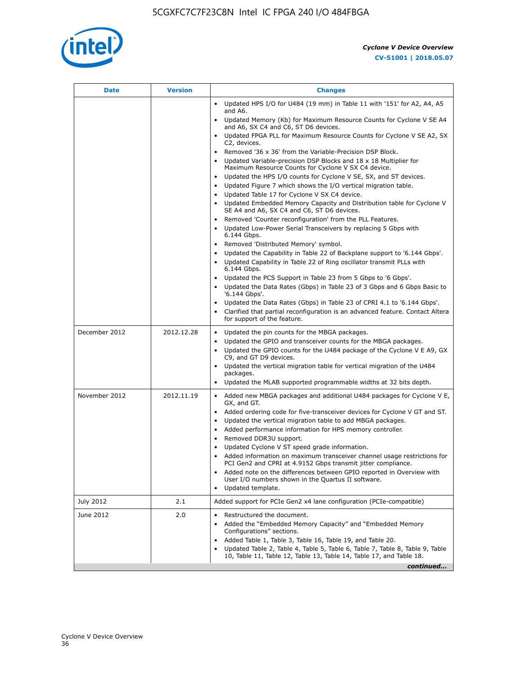

| Date          | <b>Version</b> | <b>Changes</b>                                                                                                                                             |
|---------------|----------------|------------------------------------------------------------------------------------------------------------------------------------------------------------|
|               |                | Updated HPS I/O for U484 (19 mm) in Table 11 with '151' for A2, A4, A5<br>and A6.                                                                          |
|               |                | • Updated Memory (Kb) for Maximum Resource Counts for Cyclone V SE A4<br>and A6, SX C4 and C6, ST D6 devices.                                              |
|               |                | • Updated FPGA PLL for Maximum Resource Counts for Cyclone V SE A2, SX<br>C2, devices.                                                                     |
|               |                | Removed '36 x 36' from the Variable-Precision DSP Block.<br>$\bullet$                                                                                      |
|               |                | Updated Variable-precision DSP Blocks and 18 x 18 Multiplier for<br>Maximum Resource Counts for Cyclone V SX C4 device.                                    |
|               |                | Updated the HPS I/O counts for Cyclone V SE, SX, and ST devices.<br>$\bullet$                                                                              |
|               |                | Updated Figure 7 which shows the I/O vertical migration table.<br>$\bullet$                                                                                |
|               |                | Updated Table 17 for Cyclone V SX C4 device.<br>Updated Embedded Memory Capacity and Distribution table for Cyclone V<br>$\bullet$                         |
|               |                | SE A4 and A6, SX C4 and C6, ST D6 devices.                                                                                                                 |
|               |                | Removed 'Counter reconfiguration' from the PLL Features.<br>Updated Low-Power Serial Transceivers by replacing 5 Gbps with                                 |
|               |                | 6.144 Gbps.                                                                                                                                                |
|               |                | Removed 'Distributed Memory' symbol.<br>$\bullet$<br>Updated the Capability in Table 22 of Backplane support to '6.144 Gbps'.                              |
|               |                | Updated Capability in Table 22 of Ring oscillator transmit PLLs with<br>6.144 Gbps.                                                                        |
|               |                | Updated the PCS Support in Table 23 from 5 Gbps to '6 Gbps'.                                                                                               |
|               |                | Updated the Data Rates (Gbps) in Table 23 of 3 Gbps and 6 Gbps Basic to<br>'6.144 Gbps'.                                                                   |
|               |                | Updated the Data Rates (Gbps) in Table 23 of CPRI 4.1 to '6.144 Gbps'.                                                                                     |
|               |                | Clarified that partial reconfiguration is an advanced feature. Contact Altera<br>for support of the feature.                                               |
| December 2012 | 2012.12.28     | Updated the pin counts for the MBGA packages.<br>$\bullet$                                                                                                 |
|               |                | Updated the GPIO and transceiver counts for the MBGA packages.<br>٠<br>Updated the GPIO counts for the U484 package of the Cyclone V E A9, GX<br>$\bullet$ |
|               |                | C9, and GT D9 devices.                                                                                                                                     |
|               |                | • Updated the vertical migration table for vertical migration of the U484<br>packages.                                                                     |
|               |                | Updated the MLAB supported programmable widths at 32 bits depth.                                                                                           |
| November 2012 | 2012.11.19     | • Added new MBGA packages and additional U484 packages for Cyclone V E,<br>GX, and GT.                                                                     |
|               |                | • Added ordering code for five-transceiver devices for Cyclone V GT and ST.                                                                                |
|               |                | Updated the vertical migration table to add MBGA packages.<br>Added performance information for HPS memory controller.<br>٠                                |
|               |                | Removed DDR3U support.<br>$\bullet$                                                                                                                        |
|               |                | Updated Cyclone V ST speed grade information.                                                                                                              |
|               |                | Added information on maximum transceiver channel usage restrictions for<br>PCI Gen2 and CPRI at 4.9152 Gbps transmit jitter compliance.                    |
|               |                | Added note on the differences between GPIO reported in Overview with                                                                                       |
|               |                | User I/O numbers shown in the Quartus II software.<br>Updated template.                                                                                    |
| July 2012     | 2.1            | Added support for PCIe Gen2 x4 lane configuration (PCIe-compatible)                                                                                        |
| June 2012     | 2.0            | Restructured the document.                                                                                                                                 |
|               |                | Added the "Embedded Memory Capacity" and "Embedded Memory<br>Configurations" sections.                                                                     |
|               |                | Added Table 1, Table 3, Table 16, Table 19, and Table 20.                                                                                                  |
|               |                | Updated Table 2, Table 4, Table 5, Table 6, Table 7, Table 8, Table 9, Table<br>10, Table 11, Table 12, Table 13, Table 14, Table 17, and Table 18.        |
|               |                | continued                                                                                                                                                  |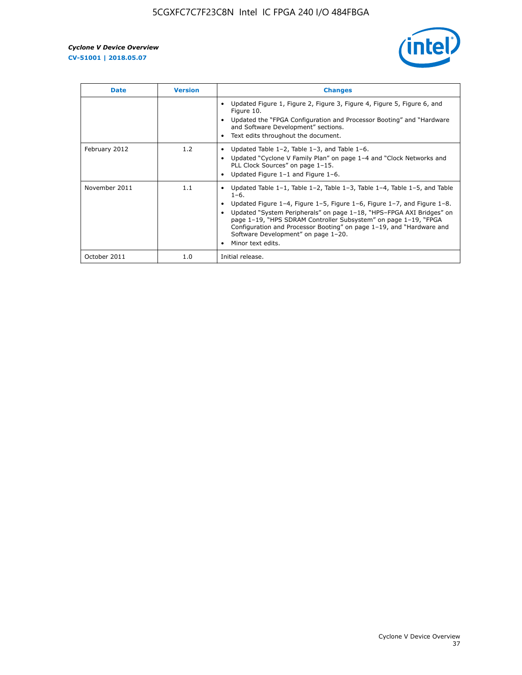

| <b>Date</b>   | <b>Version</b> | <b>Changes</b>                                                                                                                                                                                                                                                                                                                                                                                                                                                |
|---------------|----------------|---------------------------------------------------------------------------------------------------------------------------------------------------------------------------------------------------------------------------------------------------------------------------------------------------------------------------------------------------------------------------------------------------------------------------------------------------------------|
|               |                | Updated Figure 1, Figure 2, Figure 3, Figure 4, Figure 5, Figure 6, and<br>Figure 10.<br>Updated the "FPGA Configuration and Processor Booting" and "Hardware"<br>and Software Development" sections.<br>Text edits throughout the document.                                                                                                                                                                                                                  |
| February 2012 | 1.2            | • Updated Table 1-2, Table 1-3, and Table 1-6.<br>Updated "Cyclone V Family Plan" on page 1-4 and "Clock Networks and<br>PLL Clock Sources" on page 1-15.<br>Updated Figure 1-1 and Figure 1-6.                                                                                                                                                                                                                                                               |
| November 2011 | 1.1            | Updated Table $1-1$ , Table $1-2$ , Table $1-3$ , Table $1-4$ , Table $1-5$ , and Table<br>$1 - 6.$<br>Updated Figure 1–4, Figure 1–5, Figure 1–6, Figure 1–7, and Figure 1–8.<br>Updated "System Peripherals" on page 1-18, "HPS-FPGA AXI Bridges" on<br>page 1-19, "HPS SDRAM Controller Subsystem" on page 1-19, "FPGA<br>Configuration and Processor Booting" on page 1-19, and "Hardware and<br>Software Development" on page 1-20.<br>Minor text edits. |
| October 2011  | 1.0            | Initial release.                                                                                                                                                                                                                                                                                                                                                                                                                                              |